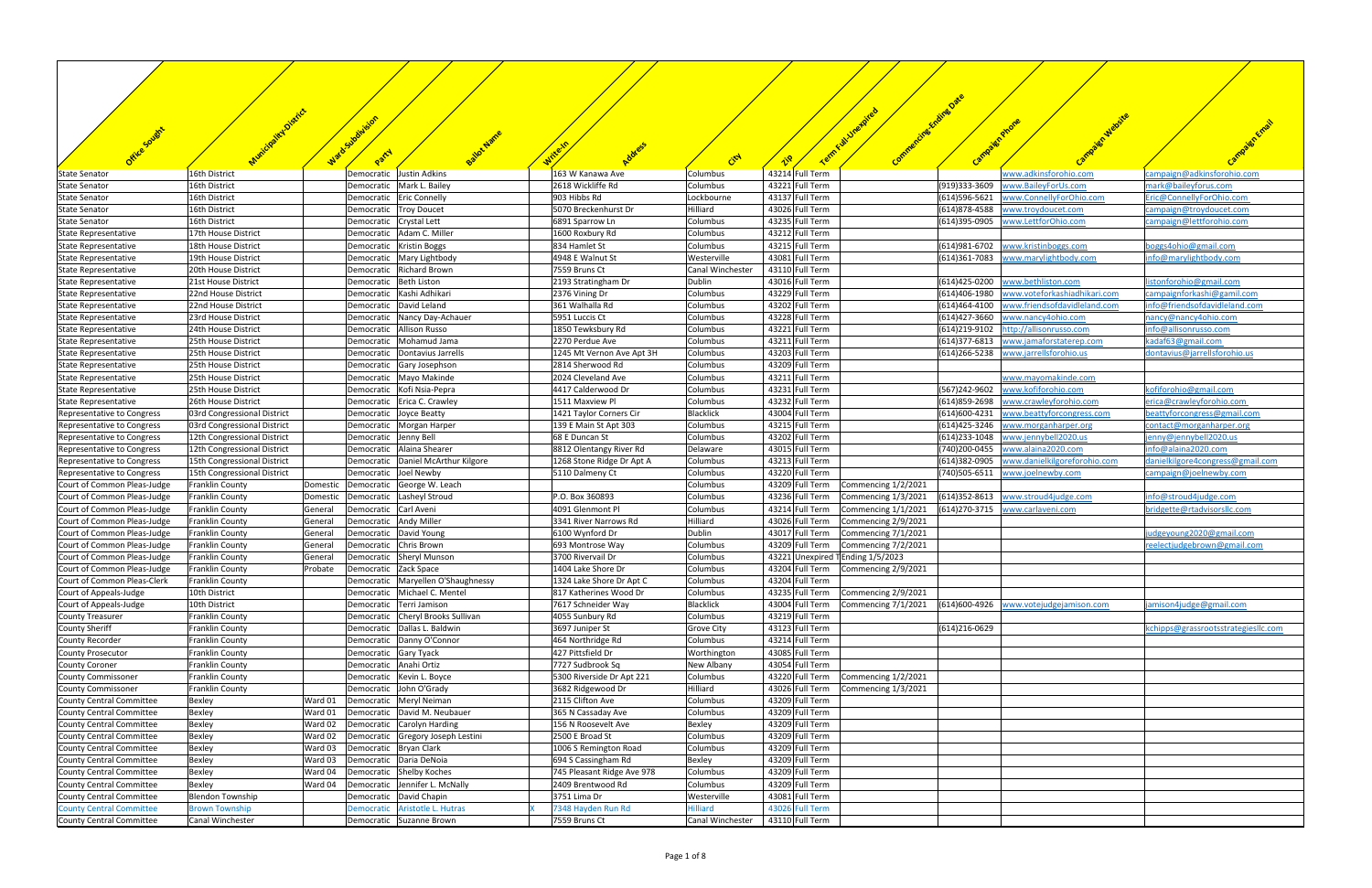| Office Soughts                                             |                                                  |                    | uladosubdusion<br>Party  |                                                          |                                           |                               |                                    | Comm                                       |                 |                                              |                                                    |
|------------------------------------------------------------|--------------------------------------------------|--------------------|--------------------------|----------------------------------------------------------|-------------------------------------------|-------------------------------|------------------------------------|--------------------------------------------|-----------------|----------------------------------------------|----------------------------------------------------|
|                                                            |                                                  |                    |                          |                                                          |                                           | Ctd                           |                                    |                                            |                 |                                              |                                                    |
| <b>State Senator</b>                                       | 16th District<br>16th District                   |                    | Democratic               | Justin Adkins<br>Democratic   Mark L. Bailey             | 163 W Kanawa Ave<br>2618 Wickliffe Rd     | Columbus                      | 43214 Full Term<br>43221 Full Term |                                            | (919)333-3609   | vww.adkinsforohio.com<br>www.BaileyForUs.com | campaign@adkinsforohio.com<br>mark@baileyforus.com |
| <b>State Senator</b><br><b>State Senator</b>               | 16th District                                    |                    | Democratic               | <b>Eric Connelly</b>                                     | 903 Hibbs Rd                              | Columbus<br>Lockbourne        | 43137 Full Term                    |                                            | (614)596-5621   | www.ConnellyForOhio.com                      | Eric@ConnellyForOhio.com                           |
| <b>State Senator</b>                                       | 16th District                                    |                    | Democratic               | <b>Troy Doucet</b>                                       | 5070 Breckenhurst Dr                      | Hilliard                      | 43026 Full Term                    |                                            | (614) 878-4588  | www.troydoucet.com                           | campaign@troydoucet.com                            |
| <b>State Senator</b>                                       | 16th District                                    |                    | Democratic               | <b>Crystal Lett</b>                                      | 6891 Sparrow Ln                           | Columbus                      | 43235 Full Term                    |                                            | (614)395-0905   | www.LettforOhio.com                          | campaign@lettforohio.com                           |
| <b>State Representative</b>                                | 17th House District                              |                    | Democratic               | Adam C. Miller                                           | 1600 Roxbury Rd                           | Columbus                      | 43212 Full Term                    |                                            |                 |                                              |                                                    |
| <b>State Representative</b>                                | 18th House District                              |                    | Democratic               | <b>Kristin Boggs</b>                                     | 834 Hamlet St                             | Columbus                      | 43215 Full Term                    |                                            | (614) 981-6702  | www.kristinboggs.com                         | ooggs4ohio@gmail.com                               |
| State Representative                                       | 19th House District                              |                    | Democratic               | Mary Lightbody                                           | 4948 E Walnut St                          | Westerville                   | 43081 Full Term                    |                                            | $(614)361-7083$ | www.marylightbody.com                        | nfo@marylightbody.com                              |
| State Representative<br><b>State Representative</b>        | 20th House District<br>21st House District       |                    | Democratic<br>Democratic | <b>Richard Brown</b><br>Beth Liston                      | 7559 Bruns Ct<br>2193 Stratingham Dr      | Canal Winchester<br>Dublin    | 43110 Full Term<br>43016 Full Term |                                            | (614)425-0200   | www.bethliston.com                           | istonforohio@gmail.com                             |
| <b>State Representative</b>                                | 22nd House District                              |                    | Democratic               | Kashi Adhikari                                           | 2376 Vining Dr                            | Columbus                      | 43229 Full Term                    |                                            | (614)406-1980   | www.voteforkashiadhikari.com                 | campaignforkashi@gamil.com                         |
| <b>State Representative</b>                                | 22nd House District                              |                    | Democratic               | David Leland                                             | 361 Walhalla Rd                           | Columbus                      | 43202 Full Term                    |                                            | (614)464-4100   | www.friendsofdavidleland.com                 | nfo@friendsofdavidleland.com                       |
| <b>State Representative</b>                                | 23rd House District                              |                    | Democratic               | Nancy Day-Achauer                                        | 5951 Luccis Ct                            | Columbus                      | 43228 Full Term                    |                                            | (614)427-3660   | www.nancy4ohio.com                           | nancy@nancy4ohio.com                               |
| State Representative                                       | 24th House District                              |                    | Democratic               | <b>Allison Russo</b>                                     | 1850 Tewksbury Rd                         | Columbus                      | 43221 Full Term                    |                                            | (614)219-9102   | http://allisonrusso.com                      | nfo@allisonrusso.com                               |
| <b>State Representative</b>                                | 25th House District                              |                    | Democratic               | Mohamud Jama                                             | 2270 Perdue Ave                           | Columbus                      | 43211 Full Term                    |                                            | (614) 377-6813  | www.jamaforstaterep.com                      | kadaf63@gmail.com                                  |
| <b>State Representative</b>                                | 25th House District                              |                    | Democratic               | Dontavius Jarrells                                       | 1245 Mt Vernon Ave Apt 3H                 | Columbus                      | 43203 Full Term                    |                                            | (614) 266-5238  | www.jarrellsforohio.us                       | dontavius@jarrellsforohio.us                       |
| State Representative                                       | 25th House District                              |                    | Democratic               | Gary Josephson                                           | 2814 Sherwood Rd                          | Columbus                      | 43209 Full Term                    |                                            |                 |                                              |                                                    |
| <b>State Representative</b>                                | 25th House District<br>25th House District       |                    |                          | Democratic   Mayo Makinde<br>Kofi Nsia-Pepra             | 2024 Cleveland Ave<br>4417 Calderwood Dr  | Columbus<br>Columbus          | 43211 Full Term<br>43231 Full Term |                                            | (567)242-9602   | www.mayomakinde.com<br>www.kofiforohio.com   | kofiforohio@gmail.com                              |
| <b>State Representative</b><br>State Representative        | 26th House District                              |                    | Democratic<br>Democratic | Erica C. Crawley                                         | 1511 Maxview Pl                           | Columbus                      | 43232 Full Term                    |                                            | (614) 859-2698  | www.crawleyforohio.com                       | erica@crawleyforohio.com                           |
| Representative to Congress                                 | 03rd Congressional District                      |                    | Democratic               | Joyce Beatty                                             | 1421 Taylor Corners Cir                   | <b>Blacklick</b>              | 43004 Full Term                    |                                            | (614)600-4231   | www.beattyforcongress.com                    | oeattyforcongress@gmail.com                        |
| Representative to Congress                                 | 03rd Congressional District                      |                    |                          | Democratic   Morgan Harper                               | 139 E Main St Apt 303                     | Columbus                      | 43215 Full Term                    |                                            | (614)425-3246   | ww.morganharper.org/                         | contact@morganharper.org                           |
| Representative to Congress                                 | 12th Congressional District                      |                    | Democratic Jenny Bell    |                                                          | 68 E Duncan St                            | Columbus                      | 43202 Full Term                    |                                            | (614) 233-1048  | vww.jennybell2020.us                         | enny@jennybell2020.us                              |
| Representative to Congress                                 | 12th Congressional District                      |                    | Democratic               | Alaina Shearer                                           | 8812 Olentangy River Rd                   | Delaware                      | 43015 Full Term                    |                                            | (740)200-0455   | vww.alaina2020.com                           | nfo@alaina2020.com                                 |
| Representative to Congress                                 | 15th Congressional District                      |                    | Democratic               | Daniel McArthur Kilgore                                  | 1268 Stone Ridge Dr Apt A                 | Columbus                      | 43213 Full Term                    |                                            | (614)382-0905   | www.danielkilgoreforohio.com                 | danielkilgore4congress@gmail.com                   |
| Representative to Congress                                 | 15th Congressional District                      |                    | Democratic               | Joel Newby                                               | 5110 Dalmeny Ct                           | Columbus                      | 43220 Full Term                    |                                            | (740) 505-6511  | <u>vww.joelnewby.com</u>                     | campaign@joelnewby.com                             |
| Court of Common Pleas-Judge                                | <b>Franklin County</b>                           |                    |                          | Domestic   Democratic   George W. Leach                  |                                           | Columbus                      | 43209 Full Term                    | Commencing 1/2/2021                        |                 |                                              |                                                    |
| Court of Common Pleas-Judge                                | <b>Franklin County</b>                           | Domestic           | Democratic               | Lasheyl Stroud                                           | P.O. Box 360893                           | Columbus                      | 43236 Full Term                    | Commencing 1/3/2021<br>Commencing 1/1/2021 | (614) 352-8613  | www.stroud4judge.com                         | info@stroud4judge.com                              |
| Court of Common Pleas-Judge<br>Court of Common Pleas-Judge | Franklin County<br>Franklin County               | General<br>General | Democratic<br>Democratic | Carl Aveni<br><b>Andy Miller</b>                         | 4091 Glenmont Pl<br>3341 River Narrows Rd | Columbus<br>Hilliard          | 43214 Full Term<br>43026 Full Term | Commencing 2/9/2021                        | (614) 270-3715  | www.carlaveni.com                            | bridgette@rtadvisorsllc.com                        |
| Court of Common Pleas-Judge                                | Franklin County                                  | General            | Democratic               | David Young                                              | 6100 Wynford Dr                           | Dublin                        | 43017 Full Term                    | Commencing 7/1/2021                        |                 |                                              | udgeyoung2020@gmail.com                            |
| Court of Common Pleas-Judge                                | Franklin County                                  | General            |                          | Democratic   Chris Brown                                 | 693 Montrose Way                          | Columbus                      | 43209 Full Term                    | Commencing 7/2/2021                        |                 |                                              | reelectjudgebrown@gmail.com                        |
| Court of Common Pleas-Judge                                | Franklin County                                  | General            |                          | Democratic Sheryl Munson                                 | 3700 Rivervail Dr                         | Columbus                      | 43221 Unexpired TEnding 1/5/2023   |                                            |                 |                                              |                                                    |
| Court of Common Pleas-Judge                                | Franklin County                                  | Probate            | Democratic Zack Space    |                                                          | 1404 Lake Shore Dr                        | Columbus                      |                                    | 43204 Full Term Commencing 2/9/2021        |                 |                                              |                                                    |
| Court of Common Pleas-Clerk                                | <b>Franklin County</b>                           |                    |                          | Democratic   Maryellen O'Shaughnessy                     | 1324 Lake Shore Dr Apt C                  | Columbus                      | 43204 Full Term                    |                                            |                 |                                              |                                                    |
| Court of Appeals-Judge                                     | 10th District                                    |                    |                          | Democratic   Michael C. Mentel                           | 817 Katherines Wood Dr                    | Columbus                      | 43235 Full Term                    | Commencing 2/9/2021                        |                 |                                              |                                                    |
| Court of Appeals-Judge                                     | 10th District                                    |                    |                          | Democratic   Terri Jamison                               | 7617 Schneider Way                        | <b>Blacklick</b>              | 43004 Full Term                    | Commencing 7/1/2021                        | (614)600-4926   | www.votejudgejamison.com                     | jamison4judge@gmail.com                            |
| <b>County Treasurer</b><br><b>County Sheriff</b>           | <b>Franklin County</b><br><b>Franklin County</b> |                    | Democratic               | Cheryl Brooks Sullivan<br>Democratic   Dallas L. Baldwin | 4055 Sunbury Rd<br>3697 Juniper St        | Columbus<br><b>Grove City</b> | 43219 Full Term<br>43123 Full Term |                                            | (614) 216-0629  |                                              | kchipps@grassrootsstrategiesllc.com                |
| <b>County Recorder</b>                                     | Franklin County                                  |                    | Democratic               | Danny O'Connor                                           | 464 Northridge Rd                         | Columbus                      | 43214 Full Term                    |                                            |                 |                                              |                                                    |
| County Prosecutor                                          | Franklin County                                  |                    | Democratic Gary Tyack    |                                                          | 427 Pittsfield Dr                         | Worthington                   | 43085 Full Term                    |                                            |                 |                                              |                                                    |
| <b>County Coroner</b>                                      | Franklin County                                  |                    | Democratic               | Anahi Ortiz                                              | 7727 Sudbrook Sq                          | New Albany                    | 43054 Full Term                    |                                            |                 |                                              |                                                    |
| <b>County Commissoner</b>                                  | Franklin County                                  |                    |                          | Democratic   Kevin L. Boyce                              | 5300 Riverside Dr Apt 221                 | Columbus                      | 43220 Full Term                    | Commencing 1/2/2021                        |                 |                                              |                                                    |
| <b>County Commissoner</b>                                  | <b>Franklin County</b>                           |                    |                          | Democratic John O'Grady                                  | 3682 Ridgewood Dr                         | Hilliard                      | 43026 Full Term                    | Commencing 1/3/2021                        |                 |                                              |                                                    |
| <b>County Central Committee</b>                            | Bexley                                           | Ward 01            |                          | Democratic   Meryl Neiman                                | 2115 Clifton Ave                          | Columbus                      | 43209 Full Term                    |                                            |                 |                                              |                                                    |
| County Central Committee                                   | Bexley                                           | Ward 01            |                          | Democratic   David M. Neubauer                           | 365 N Cassaday Ave                        | Columbus                      | 43209 Full Term                    |                                            |                 |                                              |                                                    |
| County Central Committee                                   | Bexley                                           | Ward 02            |                          | Democratic Carolyn Harding                               | 156 N Roosevelt Ave                       | Bexley                        | 43209 Full Term                    |                                            |                 |                                              |                                                    |
| County Central Committee<br>County Central Committee       | Bexley<br>Bexley                                 | Ward 02<br>Ward 03 | Democratic               | Democratic Gregory Joseph Lestini<br>Bryan Clark         | 2500 E Broad St<br>1006 S Remington Road  | Columbus<br>Columbus          | 43209 Full Term<br>43209 Full Term |                                            |                 |                                              |                                                    |
| County Central Committee                                   | Bexley                                           | Ward 03            |                          | Democratic Daria DeNoia                                  | 694 S Cassingham Rd                       | Bexley                        | 43209 Full Term                    |                                            |                 |                                              |                                                    |
| County Central Committee                                   | Bexley                                           | Ward 04            |                          | Democratic Shelby Koches                                 | 745 Pleasant Ridge Ave 978                | Columbus                      | 43209 Full Term                    |                                            |                 |                                              |                                                    |
| County Central Committee                                   | Bexley                                           | Ward 04            |                          | Democratic Jennifer L. McNally                           | 2409 Brentwood Rd                         | Columbus                      | 43209 Full Term                    |                                            |                 |                                              |                                                    |
| County Central Committee                                   | <b>Blendon Township</b>                          |                    |                          | Democratic   David Chapin                                | 3751 Lima Dr                              | Westerville                   | 43081 Full Term                    |                                            |                 |                                              |                                                    |
| <b>County Central Committee</b>                            | <b>Brown Township</b>                            |                    | Democratic               | Aristotle L. Hutras                                      | 7348 Hayden Run Rd                        | Hilliard                      | 43026 Full Term                    |                                            |                 |                                              |                                                    |
| County Central Committee                                   | Canal Winchester                                 |                    |                          | Democratic Suzanne Brown                                 | 7559 Bruns Ct                             | Canal Winchester              | 43110 Full Term                    |                                            |                 |                                              |                                                    |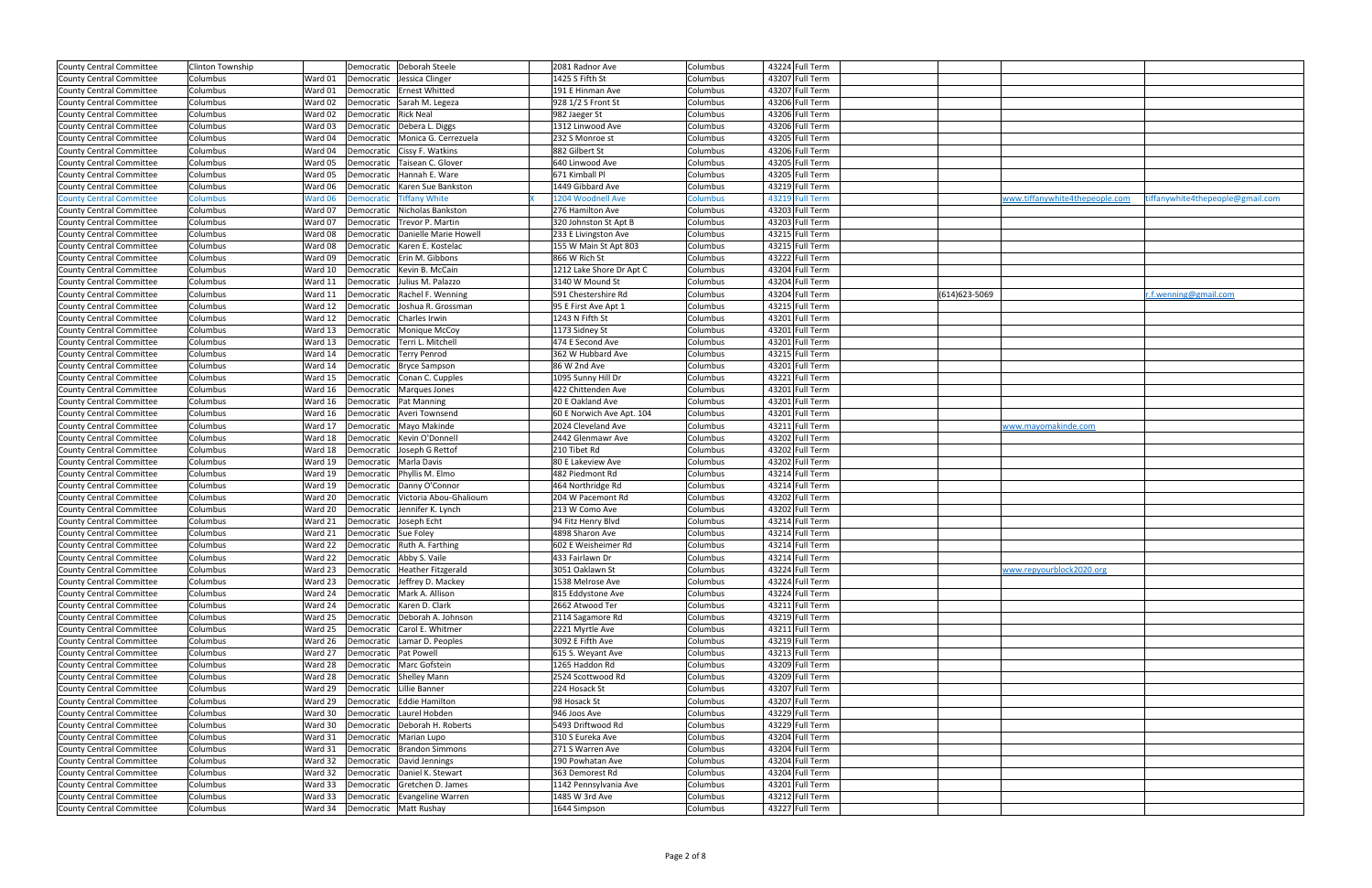| County Central Committee                             | <b>Clinton Township</b> |                    |                                  | Democratic   Deborah Steele                                       | 2081 Radnor Ave                         | Columbus             | 43224 Full Term                    |                                |                                  |
|------------------------------------------------------|-------------------------|--------------------|----------------------------------|-------------------------------------------------------------------|-----------------------------------------|----------------------|------------------------------------|--------------------------------|----------------------------------|
| <b>County Central Committee</b>                      | Columbus                | Ward 01            |                                  | Democratic Jessica Clinger                                        | 1425 S Fifth St                         | Columbus             | 43207 Full Term                    |                                |                                  |
| County Central Committee                             | Columbus                | Ward 01            |                                  | Democratic Ernest Whitted                                         | 191 E Hinman Ave                        | Columbus             | 43207 Full Term                    |                                |                                  |
| County Central Committee                             | Columbus                | Ward 02            |                                  | Democratic Sarah M. Legeza                                        | 928 1/2 S Front St                      | Columbus             | 43206 Full Term                    |                                |                                  |
| County Central Committee                             | Columbus                | Ward 02            | Democratic   Rick Neal           |                                                                   | 982 Jaeger St                           | Columbus             | 43206 Full Term                    |                                |                                  |
| County Central Committee                             | Columbus                | Ward 03            |                                  | Democratic   Debera L. Diggs                                      | 1312 Linwood Ave                        | Columbus             | 43206 Full Term                    |                                |                                  |
| County Central Committee                             | Columbus                | Ward 04            |                                  | Democratic   Monica G. Cerrezuela                                 | 232 S Monroe st                         | Columbus             | 43205 Full Term                    |                                |                                  |
|                                                      | Columbus                | Ward 04            |                                  |                                                                   | 882 Gilbert St                          |                      | 43206 Full Term                    |                                |                                  |
| <b>County Central Committee</b>                      |                         |                    |                                  | Democratic Cissy F. Watkins                                       |                                         | Columbus             | 43205 Full Term                    |                                |                                  |
| County Central Committee                             | Columbus                | Ward 05            |                                  | Democratic   Taisean C. Glover                                    | 640 Linwood Ave                         | Columbus             |                                    |                                |                                  |
| County Central Committee                             | Columbus                | Ward 05            |                                  | Democratic Hannah E. Ware                                         | 671 Kimball Pl                          | Columbus             | 43205 Full Term                    |                                |                                  |
| County Central Committee                             | Columbus                | Ward 06            |                                  | Democratic Karen Sue Bankston                                     | 1449 Gibbard Ave                        | Columbus             | 43219 Full Term                    |                                |                                  |
| <b>County Central Committee</b>                      | <b>Columbus</b>         | Ward 06            | Democratic                       | <b>Tiffany White</b><br>Democratic Nicholas Bankston              | 1204 Woodnell Ave                       | Columbus             | 43219 Full Term                    | www.tiffanywhite4thepeople.com | tiffanywhite4thepeople@gmail.com |
| County Central Committee                             | Columbus                | Ward 07            |                                  | Trevor P. Martin                                                  | 276 Hamilton Ave                        | Columbus             | 43203 Full Term<br>43203 Full Term |                                |                                  |
| County Central Committee                             | Columbus                | Ward 07            | Democratic                       |                                                                   | 320 Johnston St Apt B                   | Columbus             |                                    |                                |                                  |
| County Central Committee                             | Columbus                | Ward 08            |                                  | Democratic Danielle Marie Howell                                  | 233 E Livingston Ave                    | Columbus             | 43215 Full Term                    |                                |                                  |
| County Central Committee                             | Columbus                | Ward 08            |                                  | Democratic   Karen E. Kostelac                                    | 155 W Main St Apt 803                   | Columbus             | 43215 Full Term                    |                                |                                  |
| <b>County Central Committee</b>                      | Columbus                | Ward 09            |                                  | Democratic   Erin M. Gibbons                                      | 866 W Rich St                           | Columbus             | 43222 Full Term                    |                                |                                  |
| County Central Committee                             | Columbus                | Ward 10            |                                  | Democratic   Kevin B. McCain                                      | 1212 Lake Shore Dr Apt C                | Columbus             | 43204 Full Term                    |                                |                                  |
| County Central Committee                             | Columbus                | Ward 11            | Democratic                       | Julius M. Palazzo                                                 | 3140 W Mound St                         | Columbus             | 43204 Full Term                    |                                |                                  |
| County Central Committee                             | Columbus                | Ward 11            |                                  | Democratic Rachel F. Wenning                                      | 591 Chestershire Rd                     | Columbus             | 43204 Full Term                    | (614) 623-5069                 | r.f.wenning@gmail.com            |
| County Central Committee                             | Columbus                | Ward 12            |                                  | Democratic Joshua R. Grossman                                     | 95 E First Ave Apt 1                    | Columbus             | 43215 Full Term                    |                                |                                  |
| County Central Committee                             | Columbus                | Ward 12            |                                  | Democratic Charles Irwin                                          | 1243 N Fifth St                         | Columbus             | 43201 Full Term                    |                                |                                  |
| County Central Committee                             | Columbus                | Ward 13            |                                  | Democratic Monique McCoy                                          | 1173 Sidney St                          | Columbus             | 43201 Full Term                    |                                |                                  |
| County Central Committee                             | Columbus                | Ward 13            |                                  | Democratic   Terri L. Mitchell                                    | 474 E Second Ave                        | Columbus             | 43201 Full Term                    |                                |                                  |
| County Central Committee                             | Columbus                | Ward 14            |                                  | Democratic   Terry Penrod                                         | 362 W Hubbard Ave                       | Columbus             | 43215 Full Term                    |                                |                                  |
| <b>County Central Committee</b>                      | Columbus                | Ward 14            |                                  | Democratic   Bryce Sampson                                        | 86 W 2nd Ave                            | Columbus             | 43201 Full Term                    |                                |                                  |
| County Central Committee                             | Columbus                | Ward 15            |                                  | Democratic Conan C. Cupples                                       | 1095 Sunny Hill Dr                      | Columbus             | 43221 Full Term                    |                                |                                  |
| County Central Committee                             | Columbus                | Ward 16            |                                  | Democratic   Marques Jones                                        | 422 Chittenden Ave                      | Columbus             | 43201 Full Term                    |                                |                                  |
| <b>County Central Committee</b>                      | Columbus                | Ward 16            |                                  | Democratic   Pat Manning                                          | 20 E Oakland Ave                        | Columbus             | 43201 Full Term                    |                                |                                  |
| County Central Committee                             | Columbus                | Ward 16            |                                  | Democratic   Averi Townsend                                       | 60 E Norwich Ave Apt. 104               | Columbus             | 43201 Full Term                    |                                |                                  |
| County Central Committee                             | Columbus                | Ward 17<br>Ward 18 |                                  | Democratic Mayo Makinde<br>Democratic   Kevin O'Donnell           | 2024 Cleveland Ave<br>2442 Glenmawr Ave | Columbus             | 43211 Full Term<br>43202 Full Term | www.mayomakinde.com            |                                  |
| County Central Committee                             | Columbus                | Ward 18            |                                  |                                                                   | 210 Tibet Rd                            | Columbus             | 43202 Full Term                    |                                |                                  |
| County Central Committee<br>County Central Committee | Columbus<br>Columbus    | Ward 19            |                                  | Democratic Joseph G Rettof<br>Democratic   Marla Davis            | 80 E Lakeview Ave                       | Columbus<br>Columbus | 43202 Full Term                    |                                |                                  |
|                                                      | Columbus                | Ward 19            |                                  |                                                                   |                                         |                      | 43214 Full Term                    |                                |                                  |
| County Central Committee                             |                         | Ward 19            |                                  | Democratic Phyllis M. Elmo<br>Democratic Danny O'Connor           | 482 Piedmont Rd                         | Columbus             | 43214 Full Term                    |                                |                                  |
| County Central Committee<br>County Central Committee | Columbus                | Ward 20            |                                  |                                                                   | 464 Northridge Rd<br>204 W Pacemont Rd  | Columbus             | 43202 Full Term                    |                                |                                  |
| County Central Committee                             | Columbus<br>Columbus    | Ward 20            |                                  | Democratic Victoria Abou-Ghalioum<br>Democratic Jennifer K. Lynch | 213 W Como Ave                          | Columbus<br>Columbus | 43202 Full Term                    |                                |                                  |
| County Central Committee                             | Columbus                | Ward 21            | Democratic Joseph Echt           |                                                                   | 94 Fitz Henry Blvd                      | Columbus             | 43214 Full Term                    |                                |                                  |
| County Central Committee                             | Columbus                | Ward 21            | Democratic Sue Foley             |                                                                   | 4898 Sharon Ave                         | Columbus             | 43214 Full Term                    |                                |                                  |
| County Central Committee                             | Columbus                | Ward 22            |                                  | Democratic   Ruth A. Farthing                                     | 602 E Weisheimer Rd                     | Columbus             | 43214 Full Term                    |                                |                                  |
| County Central Committee                             | Columbus                |                    | Ward 22 Democratic Abby S. Vaile |                                                                   | 433 Fairlawn Dr                         | Columbus             | 43214 Full Term                    |                                |                                  |
| County Central Committee                             | Columbus                | Ward 23            |                                  | Democratic   Heather Fitzgerald                                   | 3051 Oaklawn St                         | Columbus             | 43224 Full Term                    | www.repyourblock2020.org       |                                  |
| County Central Committee                             | Columbus                | Ward 23            |                                  | Democratic Jeffrey D. Mackey                                      | 1538 Melrose Ave                        | Columbus             | 43224 Full Term                    |                                |                                  |
| County Central Committee                             | Columbus                | Ward 24            |                                  | Democratic Mark A. Allison                                        | 815 Eddystone Ave                       | Columbus             | 43224 Full Term                    |                                |                                  |
| County Central Committee                             | Columbus                | Ward 24            |                                  | Democratic   Karen D. Clark                                       | 2662 Atwood Ter                         | Columbus             | 43211 Full Term                    |                                |                                  |
| County Central Committee                             | Columbus                | Ward 25            |                                  | Democratic   Deborah A. Johnson                                   | 2114 Sagamore Rd                        | Columbus             | 43219 Full Term                    |                                |                                  |
| County Central Committee                             | Columbus                | Ward 25            |                                  | Democratic Carol E. Whitmer                                       | 2221 Myrtle Ave                         | Columbus             | 43211 Full Term                    |                                |                                  |
| County Central Committee                             | Columbus                | Ward 26            |                                  | Democratic Lamar D. Peoples                                       | 3092 E Fifth Ave                        | Columbus             | 43219 Full Term                    |                                |                                  |
| County Central Committee                             | Columbus                | Ward 27            | Democratic   Pat Powell          |                                                                   | 615 S. Weyant Ave                       | Columbus             | 43213 Full Term                    |                                |                                  |
| County Central Committee                             | Columbus                | Ward 28            |                                  | Democratic Marc Gofstein                                          | 1265 Haddon Rd                          | Columbus             | 43209 Full Term                    |                                |                                  |
| County Central Committee                             | Columbus                | Ward 28            |                                  | Democratic Shelley Mann                                           | 2524 Scottwood Rd                       | Columbus             | 43209 Full Term                    |                                |                                  |
| County Central Committee                             | Columbus                | Ward 29            | Democratic Lillie Banner         |                                                                   | 224 Hosack St                           | Columbus             | 43207 Full Term                    |                                |                                  |
| County Central Committee                             | Columbus                | Ward 29            |                                  | Democratic Eddie Hamilton                                         | 98 Hosack St                            | Columbus             | 43207 Full Term                    |                                |                                  |
| County Central Committee                             | Columbus                | Ward 30            |                                  | Democratic   Laurel Hobden                                        | 946 Joos Ave                            | Columbus             | 43229 Full Term                    |                                |                                  |
| County Central Committee                             | Columbus                | Ward 30            |                                  | Democratic   Deborah H. Roberts                                   | 5493 Driftwood Rd                       | Columbus             | 43229 Full Term                    |                                |                                  |
| County Central Committee                             | Columbus                | Ward 31            |                                  | Democratic   Marian Lupo                                          | 310 S Eureka Ave                        | Columbus             | 43204 Full Term                    |                                |                                  |
| County Central Committee                             | Columbus                | Ward 31            |                                  | Democratic Brandon Simmons                                        | 271 S Warren Ave                        | Columbus             | 43204 Full Term                    |                                |                                  |
| County Central Committee                             | Columbus                | Ward 32            |                                  | Democratic David Jennings                                         | 190 Powhatan Ave                        | Columbus             | 43204 Full Term                    |                                |                                  |
| County Central Committee                             | Columbus                | Ward 32            |                                  | Democratic   Daniel K. Stewart                                    | 363 Demorest Rd                         | Columbus             | 43204 Full Term                    |                                |                                  |
| County Central Committee                             | Columbus                | Ward 33            |                                  | Democratic Gretchen D. James                                      | 1142 Pennsylvania Ave                   | Columbus             | 43201 Full Term                    |                                |                                  |
| County Central Committee                             | Columbus                | Ward 33            |                                  | Democratic   Evangeline Warren                                    | 1485 W 3rd Ave                          | Columbus             | 43212 Full Term                    |                                |                                  |
| County Central Committee                             | Columbus                | Ward 34            | Democratic   Matt Rushay         |                                                                   | 1644 Simpson                            | Columbus             | 43227 Full Term                    |                                |                                  |
|                                                      |                         |                    |                                  |                                                                   |                                         |                      |                                    |                                |                                  |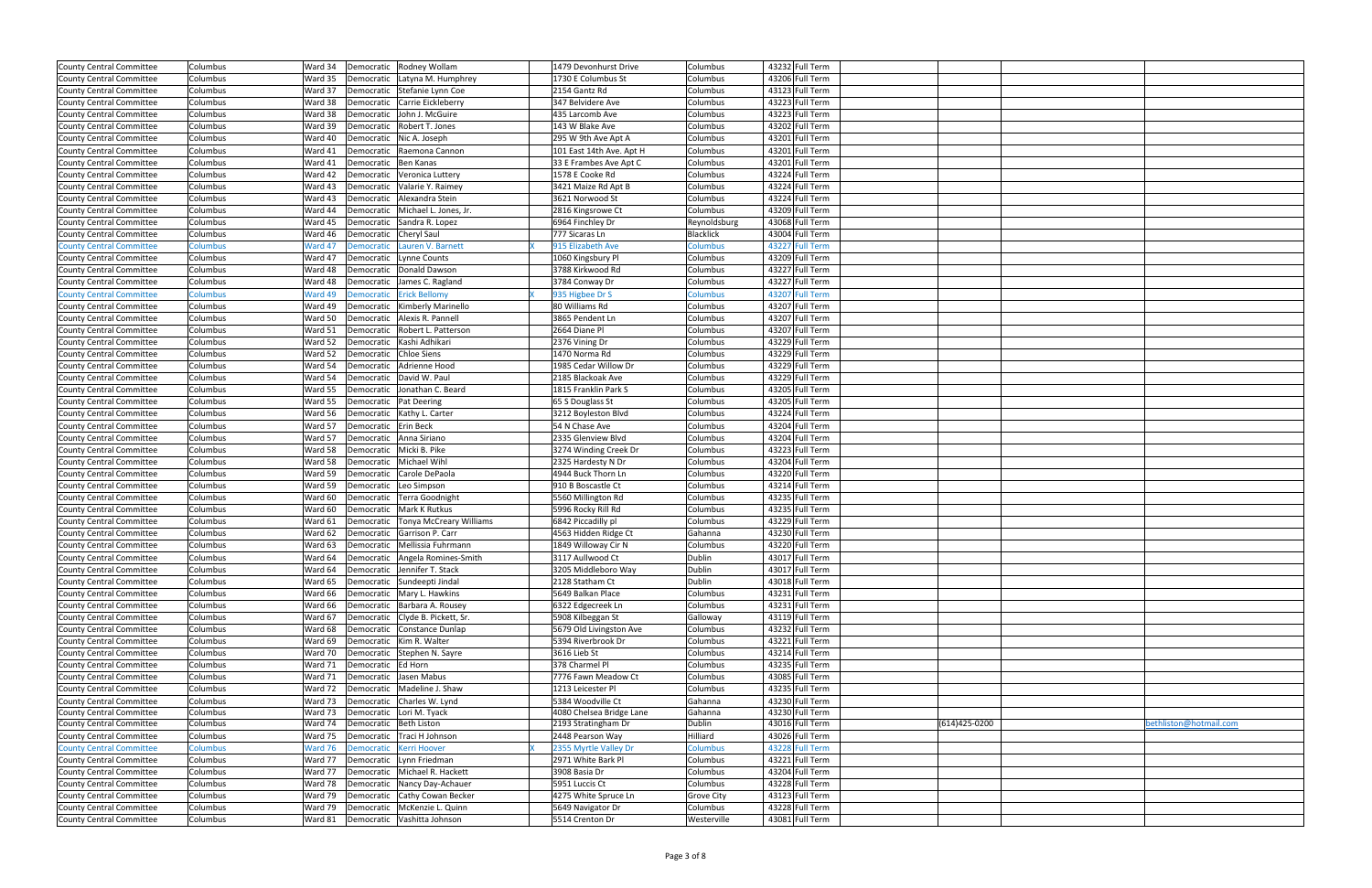| County Central Committee        | Columbus        | Ward 34 | Democratic Rodney Wollam                  | 1479 Devonhurst Drive    | Columbus          | 43232 Full Term |               |                        |
|---------------------------------|-----------------|---------|-------------------------------------------|--------------------------|-------------------|-----------------|---------------|------------------------|
| County Central Committee        | Columbus        | Ward 35 | Democratic Latyna M. Humphrey             | 1730 E Columbus St       | Columbus          | 43206 Full Term |               |                        |
| County Central Committee        | Columbus        | Ward 37 | Democratic Stefanie Lynn Coe              | 2154 Gantz Rd            | Columbus          | 43123 Full Term |               |                        |
| County Central Committee        | Columbus        | Ward 38 | Democratic Carrie Eickleberry             | 347 Belvidere Ave        | Columbus          | 43223 Full Term |               |                        |
| County Central Committee        | Columbus        | Ward 38 | Democratic John J. McGuire                | 435 Larcomb Ave          | Columbus          | 43223 Full Term |               |                        |
| County Central Committee        | Columbus        | Ward 39 | Robert T. Jones<br>Democratic             | 143 W Blake Ave          | Columbus          | 43202 Full Term |               |                        |
| County Central Committee        | Columbus        | Ward 40 | Democratic   Nic A. Joseph                | 295 W 9th Ave Apt A      | Columbus          | 43201 Full Term |               |                        |
| County Central Committee        | Columbus        | Ward 41 | Raemona Cannon<br>Democratic              | 101 East 14th Ave. Apt H | Columbus          | 43201 Full Term |               |                        |
| County Central Committee        | Columbus        | Ward 41 | Democratic<br>Ben Kanas                   | 33 E Frambes Ave Apt C   | Columbus          | 43201 Full Term |               |                        |
| County Central Committee        | Columbus        | Ward 42 | Democratic Veronica Luttery               | 1578 E Cooke Rd          | Columbus          | 43224 Full Term |               |                        |
| County Central Committee        | Columbus        | Ward 43 | Democratic<br>Valarie Y. Raimey           | 3421 Maize Rd Apt B      | Columbus          | 43224 Full Term |               |                        |
| County Central Committee        | Columbus        | Ward 43 | Democratic   Alexandra Stein              | 3621 Norwood St          | Columbus          | 43224 Full Term |               |                        |
| County Central Committee        | Columbus        | Ward 44 | Democratic<br>Michael L. Jones, Jr.       | 2816 Kingsrowe Ct        | Columbus          | 43209 Full Term |               |                        |
| County Central Committee        | Columbus        | Ward 45 | Democratic Sandra R. Lopez                | 6964 Finchley Dr         | Reynoldsburg      | 43068 Full Term |               |                        |
| County Central Committee        | Columbus        | Ward 46 | Democratic<br>Cheryl Saul                 | 777 Sicaras Ln           | <b>Blacklick</b>  | 43004 Full Term |               |                        |
| <b>County Central Committee</b> | Columbus        | Ward 47 | Lauren V. Barnett<br>Democratic           | 915 Elizabeth Ave        | Columbus          | 43227 Full Term |               |                        |
| County Central Committee        | Columbus        | Ward 47 | Lynne Counts<br>Democratic                | 1060 Kingsbury Pl        | Columbus          | 43209 Full Term |               |                        |
| County Central Committee        | Columbus        | Ward 48 | Donald Dawson<br>Democratic               | 3788 Kirkwood Rd         | Columbus          | 43227 Full Term |               |                        |
| County Central Committee        | Columbus        | Ward 48 | James C. Ragland<br>Democratic            | 3784 Conway Dr           | Columbus          | 43227 Full Term |               |                        |
| <b>County Central Committee</b> | <b>Columbus</b> | Ward 49 | <b>Democratic</b><br><b>Erick Bellomy</b> | 935 Higbee Dr S          | Columbus          | 43207 Full Term |               |                        |
| <b>County Central Committee</b> | Columbus        | Ward 49 | Democratic   Kimberly Marinello           | 80 Williams Rd           | Columbus          | 43207 Full Term |               |                        |
| County Central Committee        | Columbus        | Ward 50 | Alexis R. Pannell<br>Democratic           | 3865 Pendent Ln          | Columbus          | 43207 Full Term |               |                        |
| County Central Committee        | Columbus        | Ward 51 | Robert L. Patterson<br>Democratic         | 2664 Diane Pl            | Columbus          | 43207 Full Term |               |                        |
| County Central Committee        | Columbus        | Ward 52 | Democratic<br>Kashi Adhikari              | 2376 Vining Dr           | Columbus          | 43229 Full Term |               |                        |
| <b>County Central Committee</b> | Columbus        | Ward 52 | <b>Chloe Siens</b><br>Democratic          | 1470 Norma Rd            | Columbus          | 43229 Full Term |               |                        |
| County Central Committee        | Columbus        | Ward 54 | Adrienne Hood<br>Democratic               | 1985 Cedar Willow Dr     | Columbus          | 43229 Full Term |               |                        |
| County Central Committee        | Columbus        | Ward 54 | David W. Paul<br>Democratic               | 2185 Blackoak Ave        | Columbus          | 43229 Full Term |               |                        |
| <b>County Central Committee</b> | Columbus        | Ward 55 | Democratic Jonathan C. Beard              | 1815 Franklin Park S     | Columbus          | 43205 Full Term |               |                        |
| County Central Committee        | Columbus        | Ward 55 | <b>Pat Deering</b><br>Democratic          | 65 S Douglass St         | Columbus          | 43205 Full Term |               |                        |
| <b>County Central Committee</b> | Columbus        | Ward 56 | Democratic   Kathy L. Carter              | 3212 Boyleston Blvd      | Columbus          | 43224 Full Term |               |                        |
| County Central Committee        | Columbus        | Ward 57 | Democratic Erin Beck                      | 54 N Chase Ave           | Columbus          | 43204 Full Term |               |                        |
| County Central Committee        | Columbus        | Ward 57 | Democratic Anna Siriano                   | 2335 Glenview Blvd       | Columbus          | 43204 Full Term |               |                        |
| County Central Committee        | Columbus        | Ward 58 | Democratic Micki B. Pike                  | 3274 Winding Creek Dr    | Columbus          | 43223 Full Term |               |                        |
| <b>County Central Committee</b> | Columbus        | Ward 58 | Michael Wihl<br>Democratic                | 2325 Hardesty N Dr       | Columbus          | 43204 Full Term |               |                        |
| County Central Committee        | Columbus        | Ward 59 | Democratic Carole DePaola                 | 4944 Buck Thorn Ln       | Columbus          | 43220 Full Term |               |                        |
| <b>County Central Committee</b> | Columbus        | Ward 59 | Leo Simpson<br>Democratic                 | 910 B Boscastle Ct       | Columbus          | 43214 Full Term |               |                        |
| County Central Committee        | Columbus        | Ward 60 | Democratic   Terra Goodnight              | 5560 Millington Rd       | Columbus          | 43235 Full Term |               |                        |
| County Central Committee        | Columbus        | Ward 60 | Mark K Rutkus<br>Democratic               | 5996 Rocky Rill Rd       | Columbus          | 43235 Full Term |               |                        |
| County Central Committee        | Columbus        | Ward 61 | Democratic   Tonya McCreary Williams      | 6842 Piccadilly pl       | Columbus          | 43229 Full Term |               |                        |
| County Central Committee        | Columbus        | Ward 62 | Democratic Garrison P. Carr               | 4563 Hidden Ridge Ct     | Gahanna           | 43230 Full Term |               |                        |
| County Central Committee        | Columbus        | Ward 63 | Democratic Mellissia Fuhrmann             | 1849 Willoway Cir N      | Columbus          | 43220 Full Term |               |                        |
| County Central Committee        | Columbus        | Ward 64 | Democratic Angela Romines-Smith           | 3117 Aullwood Ct         | Dublin            | 43017 Full Term |               |                        |
| County Central Committee        | Columbus        | Ward 64 | Democratic Jennifer T. Stack              | 3205 Middleboro Way      | Dublin            | 43017 Full Term |               |                        |
| County Central Committee        | Columbus        | Ward 65 | Democratic Sundeepti Jindal               | 2128 Statham Ct          | Dublin            | 43018 Full Term |               |                        |
| County Central Committee        | Columbus        | Ward 66 | Democratic   Mary L. Hawkins              | 5649 Balkan Place        | Columbus          | 43231 Full Term |               |                        |
| County Central Committee        | Columbus        | Ward 66 | Democratic   Barbara A. Rousey            | 6322 Edgecreek Ln        | Columbus          | 43231 Full Term |               |                        |
| County Central Committee        | Columbus        | Ward 67 | Democratic Clyde B. Pickett, Sr.          | 5908 Kilbeggan St        | Galloway          | 43119 Full Term |               |                        |
| County Central Committee        | Columbus        | Ward 68 | Democratic Constance Dunlap               | 5679 Old Livingston Ave  | Columbus          | 43232 Full Term |               |                        |
| County Central Committee        | Columbus        | Ward 69 | Democratic   Kim R. Walter                | 5394 Riverbrook Dr       | Columbus          | 43221 Full Term |               |                        |
| County Central Committee        | Columbus        | Ward 70 | Democratic<br>Stephen N. Sayre            | 3616 Lieb St             | Columbus          | 43214 Full Term |               |                        |
| County Central Committee        | Columbus        | Ward 71 | Democratic Ed Horn                        | 378 Charmel Pl           | Columbus          | 43235 Full Term |               |                        |
| County Central Committee        | Columbus        | Ward 71 | Jasen Mabus<br>Democratic                 | 7776 Fawn Meadow Ct      | Columbus          | 43085 Full Term |               |                        |
| County Central Committee        | Columbus        |         | Ward 72   Democratic   Madeline J. Shaw   | 1213 Leicester Pl        | Columbus          | 43235 Full Term |               |                        |
| County Central Committee        | Columbus        | Ward 73 | Democratic Charles W. Lynd                | 5384 Woodville Ct        | Gahanna           | 43230 Full Term |               |                        |
| County Central Committee        | Columbus        | Ward 73 | Democratic Lori M. Tyack                  | 4080 Chelsea Bridge Lane | Gahanna           | 43230 Full Term |               |                        |
| County Central Committee        | Columbus        | Ward 74 | Democratic Beth Liston                    | 2193 Stratingham Dr      | Dublin            | 43016 Full Term | (614)425-0200 | oethliston@hotmail.com |
| County Central Committee        | Columbus        | Ward 75 | Democratic<br>Traci H Johnson             | 2448 Pearson Way         | Hilliard          | 43026 Full Term |               |                        |
| <b>County Central Committee</b> | <b>Columbus</b> | Ward 76 | <b>Democratic</b><br><b>Kerri Hoover</b>  | 2355 Myrtle Valley Dr    | Columbus          | 43228 Full Term |               |                        |
| County Central Committee        | Columbus        | Ward 77 | Democratic<br>Lynn Friedman               | 2971 White Bark Pl       | Columbus          | 43221 Full Term |               |                        |
| County Central Committee        | Columbus        | Ward 77 | Democratic Michael R. Hackett             | 3908 Basia Dr            | Columbus          | 43204 Full Term |               |                        |
| County Central Committee        | Columbus        | Ward 78 | Democratic Nancy Day-Achauer              | 5951 Luccis Ct           | Columbus          | 43228 Full Term |               |                        |
| <b>County Central Committee</b> | Columbus        | Ward 79 | Democratic Cathy Cowan Becker             | 4275 White Spruce Ln     | <b>Grove City</b> | 43123 Full Term |               |                        |
| County Central Committee        | Columbus        | Ward 79 | Democratic McKenzie L. Quinn              | 5649 Navigator Dr        | Columbus          | 43228 Full Term |               |                        |
| County Central Committee        | Columbus        |         | Ward 81   Democratic   Vashitta Johnson   | 5514 Crenton Dr          | Westerville       | 43081 Full Term |               |                        |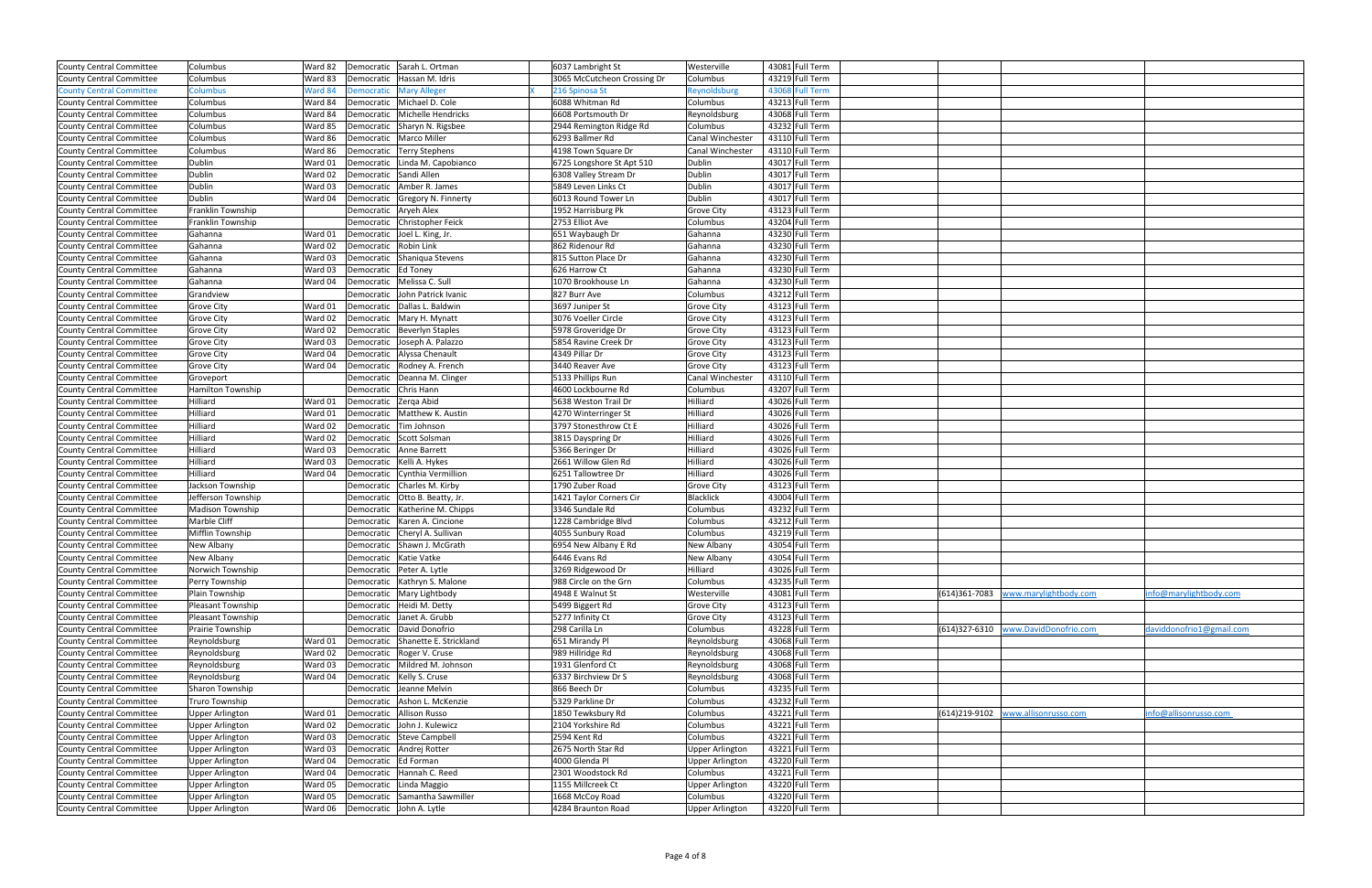| County Central Committee        | Columbus               | Ward 82 | Democratic Sarah L. Ortman           | 6037 Lambright St           | Westerville            | 43081 Full Term |                                     |                          |
|---------------------------------|------------------------|---------|--------------------------------------|-----------------------------|------------------------|-----------------|-------------------------------------|--------------------------|
| County Central Committee        | Columbus               | Ward 83 | Hassan M. Idris<br>Democratic        | 3065 McCutcheon Crossing Dr | Columbus               | 43219 Full Term |                                     |                          |
| <b>County Central Committee</b> | <b>Columbus</b>        | Ward 84 | <b>Mary Alleger</b><br>Democratic    | 216 Spinosa St              | Reynoldsburg           | 43068 Full Term |                                     |                          |
| County Central Committee        | Columbus               | Ward 84 | Michael D. Cole<br>Democratic        | 6088 Whitman Rd             | Columbus               | 43213 Full Term |                                     |                          |
| County Central Committee        | Columbus               | Ward 84 | Democratic Michelle Hendricks        | 6608 Portsmouth Dr          | Reynoldsburg           | 43068 Full Term |                                     |                          |
| County Central Committee        | Columbus               | Ward 85 | Democratic Sharyn N. Rigsbee         | 2944 Remington Ridge Rd     | Columbus               | 43232 Full Term |                                     |                          |
| County Central Committee        | Columbus               | Ward 86 | Democratic   Marco Miller            | 6293 Ballmer Rd             | Canal Winchester       | 43110 Full Term |                                     |                          |
| County Central Committee        | Columbus               | Ward 86 | Democratic   Terry Stephens          | 4198 Town Square Dr         | Canal Winchester       | 43110 Full Term |                                     |                          |
| County Central Committee        | Dublin                 | Ward 01 | Linda M. Capobianco<br>Democratic    | 6725 Longshore St Apt 510   | Dublin                 | 43017 Full Term |                                     |                          |
| County Central Committee        | Dublin                 | Ward 02 | Democratic<br>Sandi Allen            | 6308 Valley Stream Dr       | Dublin                 | 43017 Full Term |                                     |                          |
| County Central Committee        | Dublin                 | Ward 03 | Democratic<br>Amber R. James         | 5849 Leven Links Ct         | Dublin                 | 43017 Full Term |                                     |                          |
| County Central Committee        | Dublin                 | Ward 04 | Democratic Gregory N. Finnerty       | 6013 Round Tower Ln         | Dublin                 | 43017 Full Term |                                     |                          |
| County Central Committee        | Franklin Township      |         | Democratic   Aryeh Alex              | 1952 Harrisburg Pk          | <b>Grove City</b>      | 43123 Full Term |                                     |                          |
| County Central Committee        | Franklin Township      |         | Democratic Christopher Feick         | 2753 Elliot Ave             | Columbus               | 43204 Full Term |                                     |                          |
| County Central Committee        | Gahanna                | Ward 01 | Democratic Joel L. King, Jr.         | 651 Waybaugh Dr             | Gahanna                | 43230 Full Term |                                     |                          |
| County Central Committee        | Gahanna                | Ward 02 | Democratic Robin Link                | 862 Ridenour Rd             | Gahanna                | 43230 Full Term |                                     |                          |
| County Central Committee        | Gahanna                | Ward 03 | Democratic Shaniqua Stevens          | 815 Sutton Place Dr         | Gahanna                | 43230 Full Term |                                     |                          |
| County Central Committee        | Gahanna                | Ward 03 | Ed Toney<br>Democratic               | 626 Harrow Ct               | Gahanna                | 43230 Full Term |                                     |                          |
| County Central Committee        | Gahanna                | Ward 04 | Democratic   Melissa C. Sull         | 1070 Brookhouse Ln          | Gahanna                | 43230 Full Term |                                     |                          |
| County Central Committee        | Grandview              |         | John Patrick Ivanic<br>Democratic    | 827 Burr Ave                | Columbus               | 43212 Full Term |                                     |                          |
| County Central Committee        | <b>Grove City</b>      | Ward 01 | Democratic Dallas L. Baldwin         | 3697 Juniper St             | Grove City             | 43123 Full Term |                                     |                          |
| County Central Committee        | <b>Grove City</b>      | Ward 02 | Democratic   Mary H. Mynatt          | 3076 Voeller Circle         | <b>Grove City</b>      | 43123 Full Term |                                     |                          |
| County Central Committee        | <b>Grove City</b>      | Ward 02 | Democratic   Beverlyn Staples        | 5978 Groveridge Dr          | Grove City             | 43123 Full Term |                                     |                          |
| County Central Committee        | <b>Grove City</b>      | Ward 03 | Democratic<br>Joseph A. Palazzo      | 5854 Ravine Creek Dr        | Grove City             | 43123 Full Term |                                     |                          |
| County Central Committee        | <b>Grove City</b>      | Ward 04 | Alyssa Chenault<br>Democratic        | 4349 Pillar Dr              | Grove City             | 43123 Full Term |                                     |                          |
| County Central Committee        | <b>Grove City</b>      | Ward 04 | Democratic Rodney A. French          | 3440 Reaver Ave             | <b>Grove City</b>      | 43123 Full Term |                                     |                          |
| County Central Committee        | Groveport              |         | Deanna M. Clinger<br>Democratic      | 5133 Phillips Run           | Canal Winchester       | 43110 Full Term |                                     |                          |
| County Central Committee        | Hamilton Township      |         | Democratic Chris Hann                | 4600 Lockbourne Rd          | Columbus               | 43207 Full Term |                                     |                          |
| County Central Committee        | Hilliard               | Ward 01 | Zerga Abid<br>Democratic             | 5638 Weston Trail Dr        | Hilliard               | 43026 Full Term |                                     |                          |
| County Central Committee        | Hilliard               | Ward 01 | Democratic   Matthew K. Austin       | 4270 Winterringer St        | Hilliard               | 43026 Full Term |                                     |                          |
| County Central Committee        | Hilliard               | Ward 02 | Democratic Tim Johnson               | 3797 Stonesthrow Ct E       | Hilliard               | 43026 Full Term |                                     |                          |
| County Central Committee        | Hilliard               | Ward 02 | Democratic<br>Scott Solsman          | 3815 Dayspring Dr           | Hilliard               | 43026 Full Term |                                     |                          |
| County Central Committee        | Hilliard               | Ward 03 | Anne Barrett<br>Democratic           | 5366 Beringer Dr            | Hilliard               | 43026 Full Term |                                     |                          |
| County Central Committee        | Hilliard               | Ward 03 | Kelli A. Hykes<br>Democratic         | 2661 Willow Glen Rd         | Hilliard               | 43026 Full Term |                                     |                          |
| County Central Committee        | Hilliard               | Ward 04 | Democratic Cynthia Vermillion        | 6251 Tallowtree Dr          | Hilliard               | 43026 Full Term |                                     |                          |
| County Central Committee        | Jackson Township       |         | Charles M. Kirby<br>Democratic       | 1790 Zuber Road             | <b>Grove City</b>      | 43123 Full Term |                                     |                          |
| County Central Committee        | Jefferson Township     |         | Democratic   Otto B. Beatty, Jr.     | 1421 Taylor Corners Cir     | Blacklick              | 43004 Full Term |                                     |                          |
| County Central Committee        | Madison Township       |         | Democratic<br>Katherine M. Chipps    | 3346 Sundale Rd             | Columbus               | 43232 Full Term |                                     |                          |
| County Central Committee        | Marble Cliff           |         | Democratic   Karen A. Cincione       | 1228 Cambridge Blvd         | Columbus               | 43212 Full Term |                                     |                          |
| County Central Committee        | Mifflin Township       |         | Democratic Cheryl A. Sullivan        | 4055 Sunbury Road           | Columbus               | 43219 Full Term |                                     |                          |
| County Central Committee        | New Albany             |         | Democratic Shawn J. McGrath          | 6954 New Albany E Rd        | New Albany             | 43054 Full Term |                                     |                          |
| County Central Committee        | New Albany             |         | Democratic Katie Vatke               | 6446 Evans Rd               | <b>New Albany</b>      | 43054 Full Term |                                     |                          |
| County Central Committee        | Norwich Township       |         | Democratic   Peter A. Lytle          | 3269 Ridgewood Dr           | Hilliard               | 43026 Full Term |                                     |                          |
| County Central Committee        | Perry Township         |         | Democratic Kathryn S. Malone         | 988 Circle on the Grn       | Columbus               | 43235 Full Term |                                     |                          |
| County Central Committee        | Plain Township         |         | Democratic   Mary Lightbody          | 4948 E Walnut St            | Westerville            | 43081 Full Term | (614)361-7083 www.marylightbody.com | nfo@marylightbody.com    |
| County Central Committee        | Pleasant Township      |         | Heidi M. Detty<br>Democratic         | 5499 Biggert Rd             | <b>Grove City</b>      | 43123 Full Term |                                     |                          |
| County Central Committee        | Pleasant Township      |         | Janet A. Grubb<br>Democratic         | 5277 Infinity Ct            | Grove City             | 43123 Full Term |                                     |                          |
| County Central Committee        | Prairie Township       |         | David Donofrio<br>Democratic         | 298 Carilla Ln              | Columbus               | 43228 Full Term | (614)327-6310 www.DavidDonofrio.com | daviddonofrio1@gmail.com |
| County Central Committee        | Reynoldsburg           | Ward 01 | Democratic Shanette E. Strickland    | 651 Mirandy Pl              | Reynoldsburg           | 43068 Full Term |                                     |                          |
| County Central Committee        | Reynoldsburg           | Ward 02 | Democratic<br>Roger V. Cruse         | 989 Hillridge Rd            | Reynoldsburg           | 43068 Full Term |                                     |                          |
| County Central Committee        | Reynoldsburg           | Ward 03 | Democratic   Mildred M. Johnson      | 1931 Glenford Ct            | Reynoldsburg           | 43068 Full Term |                                     |                          |
| County Central Committee        | Reynoldsburg           | Ward 04 | Kelly S. Cruse<br>Democratic         | 6337 Birchview Dr S         | Reynoldsburg           | 43068 Full Term |                                     |                          |
| County Central Committee        | Sharon Township        |         | Democratic Jeanne Melvin             | 866 Beech Dr                | Columbus               | 43235 Full Term |                                     |                          |
| County Central Committee        | Truro Township         |         | Ashon L. McKenzie<br>Democratic      | 5329 Parkline Dr            | Columbus               | 43232 Full Term |                                     |                          |
| County Central Committee        | Upper Arlington        | Ward 01 | Democratic Allison Russo             | 1850 Tewksbury Rd           | Columbus               | 43221 Full Term | (614)219-9102  www.allisonrusso.com | info@allisonrusso.com    |
| County Central Committee        | <b>Upper Arlington</b> | Ward 02 | Democratic John J. Kulewicz          | 2104 Yorkshire Rd           | Columbus               | 43221 Full Term |                                     |                          |
| County Central Committee        | <b>Upper Arlington</b> | Ward 03 | Democratic Steve Campbell            | 2594 Kent Rd                | Columbus               | 43221 Full Term |                                     |                          |
| County Central Committee        | <b>Upper Arlington</b> | Ward 03 | Democratic Andrej Rotter             | 2675 North Star Rd          | <b>Upper Arlington</b> | 43221 Full Term |                                     |                          |
| County Central Committee        | Upper Arlington        | Ward 04 | Democratic<br>Ed Forman              | 4000 Glenda Pl              | <b>Upper Arlington</b> | 43220 Full Term |                                     |                          |
| County Central Committee        | Upper Arlington        | Ward 04 | Democratic Hannah C. Reed            | 2301 Woodstock Rd           | Columbus               | 43221 Full Term |                                     |                          |
| County Central Committee        | <b>Upper Arlington</b> | Ward 05 | Linda Maggio<br>Democratic           | 1155 Millcreek Ct           | <b>Upper Arlington</b> | 43220 Full Term |                                     |                          |
| County Central Committee        | <b>Upper Arlington</b> | Ward 05 | Democratic Samantha Sawmiller        | 1668 McCoy Road             | Columbus               | 43220 Full Term |                                     |                          |
| County Central Committee        | <b>Upper Arlington</b> |         | Ward 06   Democratic   John A. Lytle | 4284 Braunton Road          | <b>Upper Arlington</b> | 43220 Full Term |                                     |                          |
|                                 |                        |         |                                      |                             |                        |                 |                                     |                          |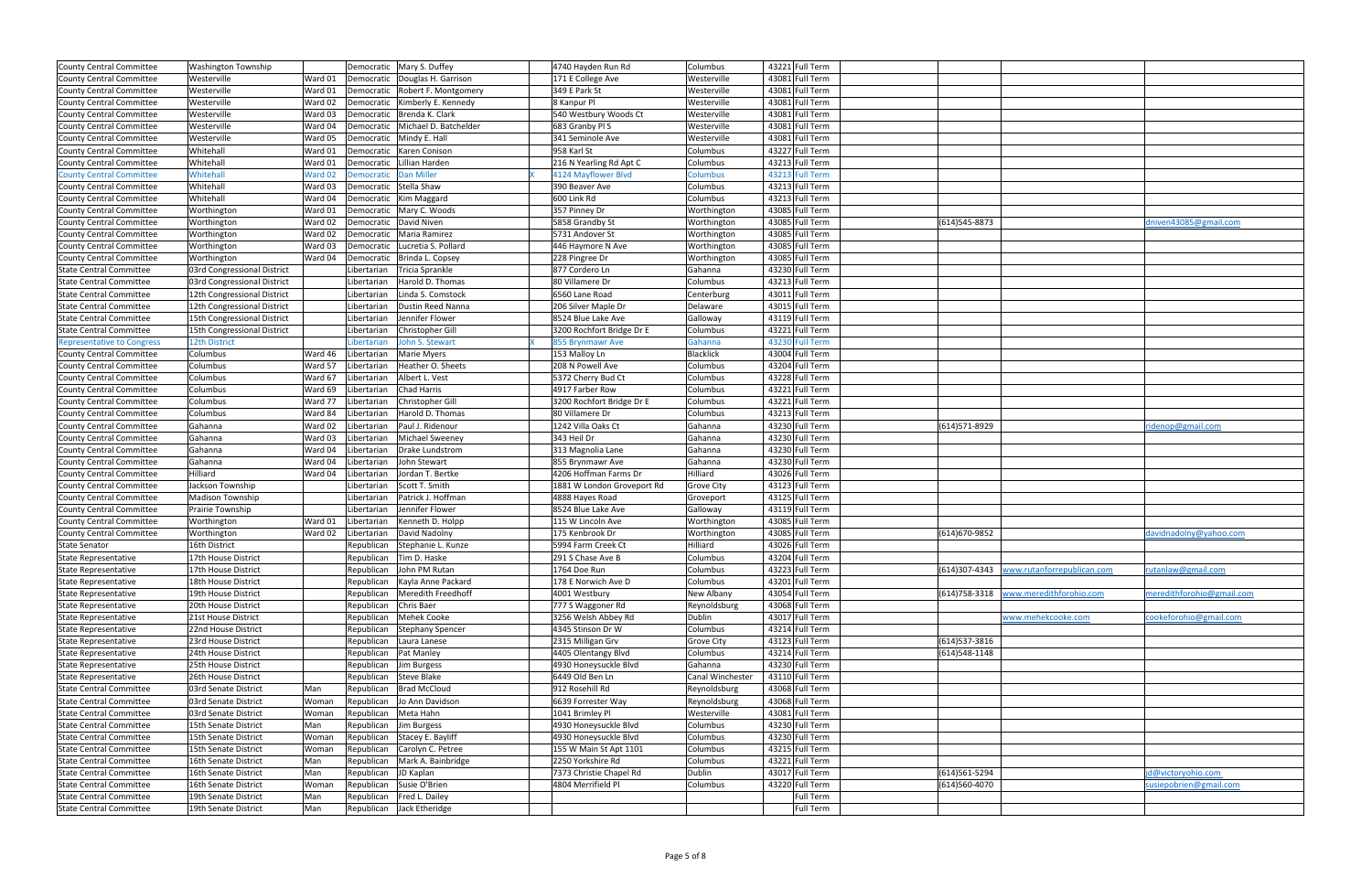| County Central Committee          | <b>Washington Township</b>  |         | Democratic   Mary S. Duffey            | 4740 Hayden Run Rd         | Columbus          | 43221 Full Term |                |                                            |                           |
|-----------------------------------|-----------------------------|---------|----------------------------------------|----------------------------|-------------------|-----------------|----------------|--------------------------------------------|---------------------------|
| County Central Committee          | Westerville                 | Ward 01 | Democratic<br>Douglas H. Garrison      | 171 E College Ave          | Westerville       | 43081 Full Term |                |                                            |                           |
| <b>County Central Committee</b>   | Westerville                 | Ward 01 | Robert F. Montgomery<br>Democratic     | 349 E Park St              | Westerville       | 43081 Full Term |                |                                            |                           |
|                                   |                             | Ward 02 | Kimberly E. Kennedy                    | 8 Kanpur Pl                |                   | 43081 Full Term |                |                                            |                           |
| County Central Committee          | Westerville                 |         | Democratic                             |                            | Westerville       |                 |                |                                            |                           |
| County Central Committee          | Westerville                 | Ward 03 | Brenda K. Clark<br>Democratic          | 540 Westbury Woods Ct      | Westerville       | 43081 Full Term |                |                                            |                           |
| <b>County Central Committee</b>   | Westerville                 | Ward 04 | Michael D. Batchelder<br>Democratic    | 683 Granby Pl S            | Westerville       | 43081 Full Term |                |                                            |                           |
| County Central Committee          | Westerville                 | Ward 05 | Mindy E. Hall<br>Democratic            | 341 Seminole Ave           | Westerville       | 43081 Full Term |                |                                            |                           |
| County Central Committee          | Whitehall                   | Ward 01 | Karen Conison<br>Democratic            | 958 Karl St                | Columbus          | 43227 Full Term |                |                                            |                           |
| County Central Committee          | Whitehall                   | Ward 01 | Lillian Harden<br>Democratic           | 216 N Yearling Rd Apt C    | Columbus          | 43213 Full Term |                |                                            |                           |
| <b>County Central Committee</b>   | Whitehall                   | Ward 02 | <b>Dan Miller</b><br><b>Democratic</b> | 4124 Mayflower Blvd        | <b>Columbus</b>   | 43213 Full Term |                |                                            |                           |
| County Central Committee          | Whitehall                   | Ward 03 | <b>Stella Shaw</b><br>Democratic       | 390 Beaver Ave             | Columbus          | 43213 Full Term |                |                                            |                           |
| County Central Committee          | Whitehall                   | Ward 04 | Kim Maggard<br>Democratic              | 600 Link Rd                | Columbus          | 43213 Full Term |                |                                            |                           |
| <b>County Central Committee</b>   | Worthington                 | Ward 01 | Mary C. Woods<br>Democratic            | 357 Pinney Dr              | Worthington       | 43085 Full Term |                |                                            |                           |
| County Central Committee          | Worthington                 | Ward 02 | David Niven<br>Democratic              | 5858 Grandby St            | Worthington       | 43085 Full Term | (614) 545-8873 |                                            | dniven43085@gmail.com     |
| <b>County Central Committee</b>   | Worthington                 | Ward 02 | Democratic<br>Maria Ramirez            | 5731 Andover St            | Worthington       | 43085 Full Term |                |                                            |                           |
| County Central Committee          | Worthington                 | Ward 03 | Lucretia S. Pollard<br>Democratic      | 446 Haymore N Ave          | Worthington       | 43085 Full Term |                |                                            |                           |
| County Central Committee          | Worthington                 | Ward 04 | Brinda L. Copsey<br>Democratic         | 228 Pingree Dr             | Worthington       | 43085 Full Term |                |                                            |                           |
| <b>State Central Committee</b>    | 03rd Congressional District |         | Tricia Sprankle<br>Libertarian         | 877 Cordero Ln             | Gahanna           | 43230 Full Term |                |                                            |                           |
| <b>State Central Committee</b>    | 03rd Congressional District |         | Harold D. Thomas                       | 80 Villamere Dr            | Columbus          | 43213 Full Term |                |                                            |                           |
|                                   | 12th Congressional District |         | Libertarian<br>Linda S. Comstock       | 6560 Lane Road             |                   |                 |                |                                            |                           |
| <b>State Central Committee</b>    |                             |         | Libertarian                            |                            | Centerburg        | 43011 Full Term |                |                                            |                           |
| <b>State Central Committee</b>    | 12th Congressional District |         | Dustin Reed Nanna<br>Libertarian       | 206 Silver Maple Dr        | Delaware          | 43015 Full Term |                |                                            |                           |
| <b>State Central Committee</b>    | 15th Congressional District |         | Jennifer Flower<br>Libertarian         | 8524 Blue Lake Ave         | Galloway          | 43119 Full Term |                |                                            |                           |
| <b>State Central Committee</b>    | 15th Congressional District |         | Christopher Gill<br>Libertarian        | 3200 Rochfort Bridge Dr E  | Columbus          | 43221 Full Term |                |                                            |                           |
| <b>Representative to Congress</b> | 12th District               |         | John S. Stewart<br>Libertarian         | 855 Brynmawr Ave           | Gahanna           | 43230 Full Term |                |                                            |                           |
| County Central Committee          | Columbus                    | Ward 46 | Libertarian<br>Marie Myers             | 153 Malloy Ln              | <b>Blacklick</b>  | 43004 Full Term |                |                                            |                           |
| County Central Committee          | Columbus                    | Ward 57 | Heather O. Sheets<br>Libertarian       | 208 N Powell Ave           | Columbus          | 43204 Full Term |                |                                            |                           |
| County Central Committee          | Columbus                    | Ward 67 | Albert L. Vest<br>Libertarian          | 5372 Cherry Bud Ct         | Columbus          | 43228 Full Term |                |                                            |                           |
| County Central Committee          | Columbus                    | Ward 69 | Chad Harris<br>Libertarian             | 4917 Farber Row            | Columbus          | 43221 Full Term |                |                                            |                           |
| <b>County Central Committee</b>   | Columbus                    | Ward 77 | Libertarian<br>Christopher Gill        | 3200 Rochfort Bridge Dr E  | Columbus          | 43221 Full Term |                |                                            |                           |
| County Central Committee          | Columbus                    | Ward 84 | Harold D. Thomas<br>Libertarian        | 80 Villamere Dr            | Columbus          | 43213 Full Term |                |                                            |                           |
| County Central Committee          | Gahanna                     | Ward 02 | Paul J. Ridenour<br>Libertarian        | 1242 Villa Oaks Ct         | Gahanna           | 43230 Full Term | (614)571-8929  |                                            | ridenop@gmail.com         |
| County Central Committee          | Gahanna                     | Ward 03 | Libertarian<br>Michael Sweeney         | 343 Heil Dr                | Gahanna           | 43230 Full Term |                |                                            |                           |
| County Central Committee          | Gahanna                     | Ward 04 | Libertarian<br>Drake Lundstrom         | 313 Magnolia Lane          | Gahanna           | 43230 Full Term |                |                                            |                           |
|                                   |                             |         |                                        |                            |                   |                 |                |                                            |                           |
| County Central Committee          | Gahanna                     | Ward 04 | John Stewart<br>Libertarian            | 855 Brynmawr Ave           | Gahanna           | 43230 Full Term |                |                                            |                           |
| County Central Committee          | Hilliard                    | Ward 04 | Jordan T. Bertke<br>Libertarian        | 4206 Hoffman Farms Dr      | Hilliard          | 43026 Full Term |                |                                            |                           |
| County Central Committee          | Jackson Township            |         | Scott T. Smith<br>Libertarian          | 1881 W London Groveport Rd | <b>Grove City</b> | 43123 Full Term |                |                                            |                           |
| County Central Committee          | <b>Madison Township</b>     |         | Patrick J. Hoffman<br>Libertarian      | 4888 Hayes Road            | Groveport         | 43125 Full Term |                |                                            |                           |
| County Central Committee          | Prairie Township            |         | Jennifer Flower<br>Libertarian         | 8524 Blue Lake Ave         | Galloway          | 43119 Full Term |                |                                            |                           |
| County Central Committee          | Worthington                 | Ward 01 | Kenneth D. Holpp<br>Libertarian        | 115 W Lincoln Ave          | Worthington       | 43085 Full Term |                |                                            |                           |
| County Central Committee          | Worthington                 | Ward 02 | David Nadolny<br>Libertarian           | 175 Kenbrook Dr            | Worthington       | 43085 Full Term | (614) 670-9852 |                                            | davidnadolny@yahoo.com    |
| <b>State Senator</b>              | 16th District               |         | Republican<br>Stephanie L. Kunze       | 5994 Farm Creek Ct         | Hilliard          | 43026 Full Term |                |                                            |                           |
| <b>State Representative</b>       | 17th House District         |         | Republican<br>Tim D. Haske             | 291 S Chase Ave B          | Columbus          | 43204 Full Term |                |                                            |                           |
| <b>State Representative</b>       | 17th House District         |         | John PM Rutan<br>Republican            | 1764 Doe Run               | Columbus          | 43223 Full Term |                | (614)307-4343   www.rutanforrepublican.com | rutanlaw@gmail.com        |
| <b>State Representative</b>       | 18th House District         |         | Republican<br>Kayla Anne Packard       | 178 E Norwich Ave D        | Columbus          | 43201 Full Term |                |                                            |                           |
| <b>State Representative</b>       | 19th House District         |         | Meredith Freedhoff<br>Republican       | 4001 Westbury              | New Albany        | 43054 Full Term | (614)758-3318  | www.meredithforohio.com                    | meredithforohio@gmail.com |
| <b>State Representative</b>       | 20th House District         |         | Chris Baer<br>Republican               | 777 S Waggoner Rd          | Reynoldsburg      | 43068 Full Term |                |                                            |                           |
| <b>State Representative</b>       | 21st House District         |         | <b>Mehek Cooke</b><br>Republican       | 3256 Welsh Abbey Rd        | Dublin            | 43017 Full Term |                | www.mehekcooke.com                         | cookeforohio@gmail.com    |
| <b>State Representative</b>       | 22nd House District         |         | <b>Stephany Spencer</b>                |                            |                   | 43214 Full Term |                |                                            |                           |
|                                   |                             |         | Republican                             | 4345 Stinson Dr W          | Columbus          |                 |                |                                            |                           |
| <b>State Representative</b>       | 23rd House District         |         | Republican<br>Laura Lanese             | 2315 Milligan Grv          | <b>Grove City</b> | 43123 Full Term | (614) 537-3816 |                                            |                           |
| <b>State Representative</b>       | 24th House District         |         | Republican<br>Pat Manley               | 4405 Olentangy Blvd        | Columbus          | 43214 Full Term | (614) 548-1148 |                                            |                           |
| <b>State Representative</b>       | 25th House District         |         | Republican<br>Jim Burgess              | 4930 Honeysuckle Blvd      | Gahanna           | 43230 Full Term |                |                                            |                           |
| State Representative              | 26th House District         |         | Republican<br><b>Steve Blake</b>       | 6449 Old Ben Ln            | Canal Winchester  | 43110 Full Term |                |                                            |                           |
| <b>State Central Committee</b>    | 03rd Senate District        | Man     | Republican<br><b>Brad McCloud</b>      | 912 Rosehill Rd            | Reynoldsburg      | 43068 Full Term |                |                                            |                           |
| <b>State Central Committee</b>    | 03rd Senate District        | Woman   | Jo Ann Davidson<br>Republican          | 6639 Forrester Way         | Reynoldsburg      | 43068 Full Term |                |                                            |                           |
| <b>State Central Committee</b>    | 03rd Senate District        | Woman   | Republican<br>Meta Hahn                | 1041 Brimley Pl            | Westerville       | 43081 Full Term |                |                                            |                           |
| <b>State Central Committee</b>    | 15th Senate District        | Man     | Republican<br>Jim Burgess              | 4930 Honeysuckle Blvd      | Columbus          | 43230 Full Term |                |                                            |                           |
| <b>State Central Committee</b>    | 15th Senate District        | Woman   | Republican<br>Stacey E. Bayliff        | 4930 Honeysuckle Blvd      | Columbus          | 43230 Full Term |                |                                            |                           |
| State Central Committee           | 15th Senate District        | Woman   | Republican<br>Carolyn C. Petree        | 155 W Main St Apt 1101     | Columbus          | 43215 Full Term |                |                                            |                           |
| State Central Committee           | 16th Senate District        | Man     | Republican<br>Mark A. Bainbridge       | 2250 Yorkshire Rd          | Columbus          | 43221 Full Term |                |                                            |                           |
| State Central Committee           | 16th Senate District        | Man     | Republican<br>JD Kaplan                | 7373 Christie Chapel Rd    | Dublin            | 43017 Full Term | (614) 561-5294 |                                            | jd@victoryohio.com        |
| <b>State Central Committee</b>    | 16th Senate District        | Woman   | Susie O'Brien<br>Republican            | 4804 Merrifield Pl         | Columbus          | 43220 Full Term | (614)560-4070  |                                            | susiepobrien@gmail.com    |
|                                   |                             |         |                                        |                            |                   | Full Term       |                |                                            |                           |
| <b>State Central Committee</b>    | 19th Senate District        | Man     | Republican<br>Fred L. Dailey           |                            |                   |                 |                |                                            |                           |
| <b>State Central Committee</b>    | 19th Senate District        | Man     | Republican<br>Jack Etheridge           |                            |                   | Full Term       |                |                                            |                           |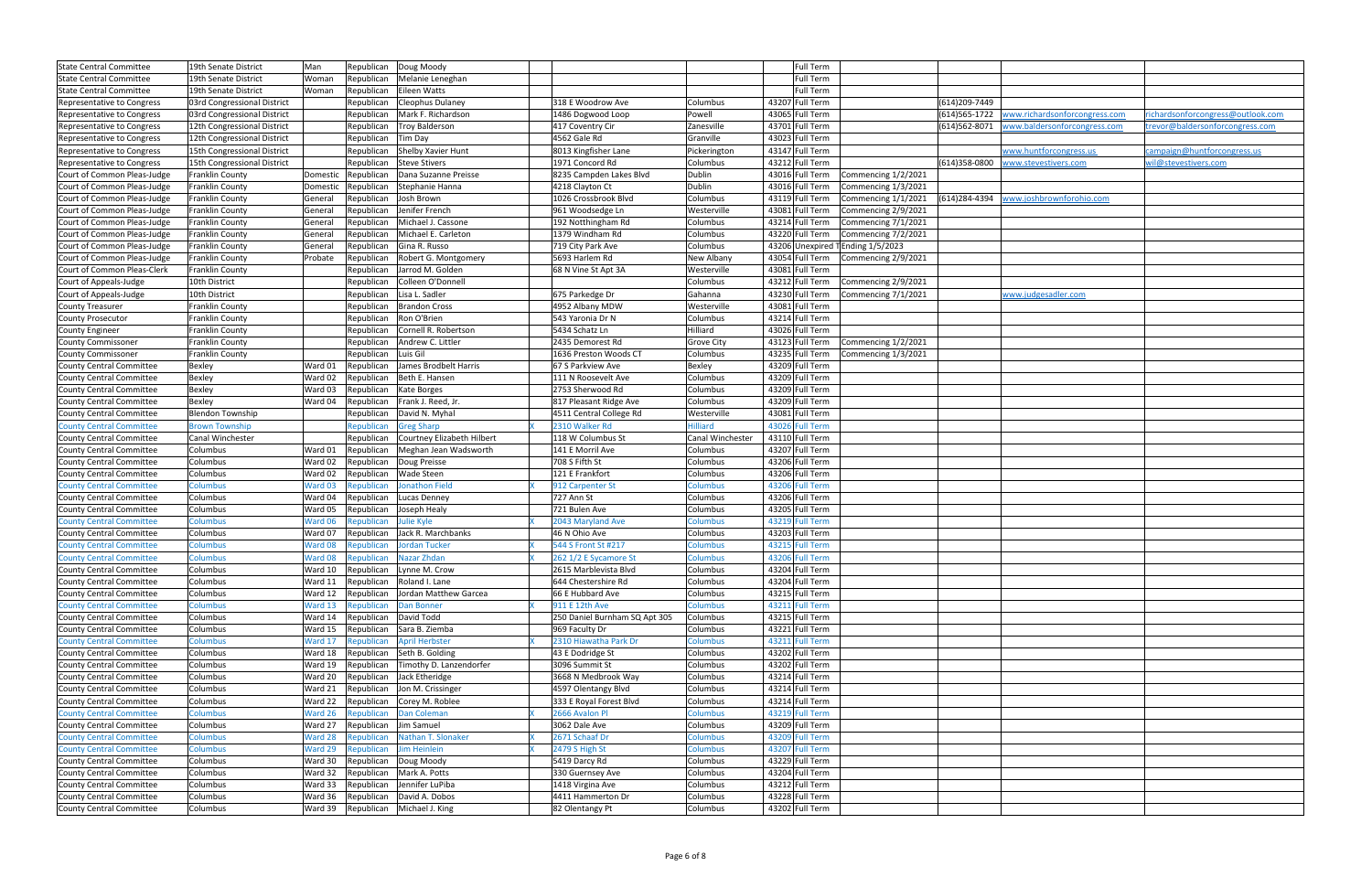| <b>State Central Committee</b>  | 19th Senate District        | Man      | Republican          | Doug Moody                                   |                               |                   | Full Term       |                                  |                |                               |                                   |
|---------------------------------|-----------------------------|----------|---------------------|----------------------------------------------|-------------------------------|-------------------|-----------------|----------------------------------|----------------|-------------------------------|-----------------------------------|
| <b>State Central Committee</b>  | 19th Senate District        | Woman    | Republican          | Melanie Leneghan                             |                               |                   | Full Term       |                                  |                |                               |                                   |
| State Central Committee         | 19th Senate District        | Woman    | Republican          | Eileen Watts                                 |                               |                   | Full Term       |                                  |                |                               |                                   |
| Representative to Congress      | 03rd Congressional District |          | Republican          | Cleophus Dulaney                             | 318 E Woodrow Ave             | Columbus          | 43207 Full Term |                                  | (614) 209-7449 |                               |                                   |
| Representative to Congress      | 03rd Congressional District |          | Republican          | Mark F. Richardson                           | 1486 Dogwood Loop             | Powell            | 43065 Full Term |                                  | (614) 565-1722 | www.richardsonforcongress.com | richardsonforcongress@outlook.com |
| Representative to Congress      | 12th Congressional District |          | Republican          | <b>Troy Balderson</b>                        | 417 Coventry Cir              | Zanesville        | 43701 Full Term |                                  | (614)562-8071  | www.baldersonforcongress.com  | trevor@baldersonforcongress.com   |
| Representative to Congress      | 12th Congressional District |          | Republican          | Tim Day                                      | 4562 Gale Rd                  | Granville         | 43023 Full Term |                                  |                |                               |                                   |
| Representative to Congress      | 15th Congressional District |          | Republican          | Shelby Xavier Hunt                           | 8013 Kingfisher Lane          | Pickerington      | 43147 Full Term |                                  |                | www.huntforcongress.us        | campaign@huntforcongress.us       |
| Representative to Congress      | 15th Congressional District |          | Republican          | <b>Steve Stivers</b>                         | 1971 Concord Rd               | Columbus          | 43212 Full Term |                                  | (614)358-0800  | www.stevestivers.com          | wil@stevestivers.com              |
| Court of Common Pleas-Judge     | Franklin County             | Domestic | Republican          | Dana Suzanne Preisse                         | 8235 Campden Lakes Blvd       | Dublin            | 43016 Full Term | Commencing 1/2/2021              |                |                               |                                   |
| Court of Common Pleas-Judge     | Franklin County             |          | Domestic Republican | Stephanie Hanna                              | 4218 Clayton Ct               | Dublin            | 43016 Full Term | Commencing 1/3/2021              |                |                               |                                   |
| Court of Common Pleas-Judge     | Franklin County             | General  | Republican          | Josh Brown                                   | 1026 Crossbrook Blvd          | Columbus          | 43119 Full Term | Commencing 1/1/2021              | (614)284-4394  | www.joshbrownforohio.com      |                                   |
| Court of Common Pleas-Judge     | Franklin County             | General  | Republican          | Jenifer French                               | 961 Woodsedge Ln              | Westerville       | 43081 Full Term | Commencing 2/9/2021              |                |                               |                                   |
| Court of Common Pleas-Judge     | Franklin County             | General  | Republican          | Michael J. Cassone                           | 192 Notthingham Rd            | Columbus          | 43214 Full Term | Commencing 7/1/2021              |                |                               |                                   |
| Court of Common Pleas-Judge     | Franklin County             | General  | Republican          | Michael E. Carleton                          | 1379 Windham Rd               | Columbus          | 43220 Full Term | Commencing 7/2/2021              |                |                               |                                   |
| Court of Common Pleas-Judge     | Franklin County             | General  | Republican          | Gina R. Russo                                | 719 City Park Ave             | Columbus          |                 | 43206 Unexpired TEnding 1/5/2023 |                |                               |                                   |
| Court of Common Pleas-Judge     | Franklin County             | Probate  | Republican          | Robert G. Montgomery                         | 5693 Harlem Rd                | New Albany        | 43054 Full Term | Commencing 2/9/2021              |                |                               |                                   |
| Court of Common Pleas-Clerk     | Franklin County             |          | Republican          | Jarrod M. Golden                             | 68 N Vine St Apt 3A           | Westerville       | 43081 Full Term |                                  |                |                               |                                   |
| Court of Appeals-Judge          | 10th District               |          | Republican          | Colleen O'Donnell                            |                               | Columbus          | 43212 Full Term | Commencing 2/9/2021              |                |                               |                                   |
| Court of Appeals-Judge          | 10th District               |          | Republican          | Lisa L. Sadler                               | 675 Parkedge Dr               | Gahanna           | 43230 Full Term | Commencing 7/1/2021              |                | www.judgesadler.com           |                                   |
| <b>County Treasurer</b>         | Franklin County             |          | Republican          | <b>Brandon Cross</b>                         | 4952 Albany MDW               | Westerville       | 43081 Full Term |                                  |                |                               |                                   |
| <b>County Prosecutor</b>        | Franklin County             |          | Republican          | Ron O'Brien                                  | 543 Yaronia Dr N              | Columbus          | 43214 Full Term |                                  |                |                               |                                   |
|                                 | Franklin County             |          |                     | Cornell R. Robertson                         | 5434 Schatz Ln                | Hilliard          | 43026 Full Term |                                  |                |                               |                                   |
| <b>County Engineer</b>          |                             |          | Republican          |                                              |                               |                   |                 |                                  |                |                               |                                   |
| County Commissoner              | Franklin County             |          | Republican          | Andrew C. Littler                            | 2435 Demorest Rd              | <b>Grove City</b> | 43123 Full Term | Commencing 1/2/2021              |                |                               |                                   |
| <b>County Commissoner</b>       | Franklin County             |          | Republican          | Luis Gil                                     | 1636 Preston Woods CT         | Columbus          | 43235 Full Term | Commencing 1/3/2021              |                |                               |                                   |
| County Central Committee        | <b>Bexley</b>               | Ward 01  | Republican          | James Brodbelt Harris                        | 67 S Parkview Ave             | Bexley            | 43209 Full Term |                                  |                |                               |                                   |
| <b>County Central Committee</b> | Bexley                      | Ward 02  | Republican          | Beth E. Hansen                               | 111 N Roosevelt Ave           | Columbus          | 43209 Full Term |                                  |                |                               |                                   |
| County Central Committee        | Bexley                      | Ward 03  | Republican          | Kate Borges                                  | 2753 Sherwood Rd              | Columbus          | 43209 Full Term |                                  |                |                               |                                   |
| County Central Committee        | Bexley                      | Ward 04  | Republican          | Frank J. Reed, Jr.                           | 817 Pleasant Ridge Ave        | Columbus          | 43209 Full Term |                                  |                |                               |                                   |
| County Central Committee        | <b>Blendon Township</b>     |          | Republican          | David N. Myhal                               | 4511 Central College Rd       | Westerville       | 43081 Full Term |                                  |                |                               |                                   |
| <b>County Central Committee</b> | <b>Brown Township</b>       |          | Republican          | <b>Greg Sharp</b>                            | 2310 Walker Rd                | <b>Hilliard</b>   | 43026 Full Term |                                  |                |                               |                                   |
| <b>County Central Committee</b> | Canal Winchester            |          | Republican          | Courtney Elizabeth Hilbert                   | 118 W Columbus St             | Canal Winchester  | 43110 Full Term |                                  |                |                               |                                   |
| County Central Committee        | Columbus                    | Ward 01  | Republican          | Meghan Jean Wadsworth                        | 141 E Morril Ave              | Columbus          | 43207 Full Term |                                  |                |                               |                                   |
| County Central Committee        | Columbus                    | Ward 02  | Republican          | Doug Preisse                                 | 708 S Fifth St                | Columbus          | 43206 Full Term |                                  |                |                               |                                   |
| County Central Committee        | Columbus                    | Ward 02  | Republican          | Wade Steen                                   | 121 E Frankfort               | Columbus          | 43206 Full Term |                                  |                |                               |                                   |
| <b>County Central Committee</b> | Columbus                    | Ward 03  | Republican          | <b>Jonathon Field</b>                        | 912 Carpenter St              | <b>Columbus</b>   | 43206 Full Term |                                  |                |                               |                                   |
| County Central Committee        | Columbus                    | Ward 04  | Republican          | Lucas Denney                                 | 727 Ann St                    | Columbus          | 43206 Full Term |                                  |                |                               |                                   |
| County Central Committee        | Columbus                    | Ward 05  | Republican          | Joseph Healy                                 | 721 Bulen Ave                 | Columbus          | 43205 Full Term |                                  |                |                               |                                   |
| <b>County Central Committee</b> | <b>Columbus</b>             | Ward 06  | Republican          | <b>Julie Kyle</b>                            | 2043 Maryland Ave             | Columbus          | 43219 Full Term |                                  |                |                               |                                   |
| County Central Committee        | Columbus                    | Ward 07  | Republican          | Jack R. Marchbanks                           | 46 N Ohio Ave                 | Columbus          | 43203 Full Term |                                  |                |                               |                                   |
| <b>County Central Committee</b> | Columbus                    | Ward 08  | Republican          | Jordan Tucker                                | 544 S Front St #217           | <b>Columbus</b>   | 43215 Full Term |                                  |                |                               |                                   |
| <b>County Central Committee</b> | <b>Columbus</b>             |          | Ward 08 Republican  | Nazar Zhdan                                  | 262 1/2 E Sycamore St         | <b>Columbus</b>   | 43206 Full Term |                                  |                |                               |                                   |
| County Central Committee        | Columbus                    |          |                     | Ward 10   Republican   Lynne M. Crow         | 2615 Marblevista Blvd         | Columbus          | 43204 Full Term |                                  |                |                               |                                   |
| County Central Committee        | Columbus                    | Ward 11  | Republican          | Roland I. Lane                               | 644 Chestershire Rd           | Columbus          | 43204 Full Term |                                  |                |                               |                                   |
| County Central Committee        | Columbus                    |          |                     | Ward 12   Republican   Jordan Matthew Garcea | 66 E Hubbard Ave              | Columbus          | 43215 Full Term |                                  |                |                               |                                   |
| <b>County Central Committee</b> | <b>Columbus</b>             | Ward 13  | Republican          | Dan Bonner                                   | 911 E 12th Ave                | Columbus          | 43211 Full Term |                                  |                |                               |                                   |
| County Central Committee        | Columbus                    | Ward 14  |                     | Republican David Todd                        | 250 Daniel Burnham SQ Apt 305 | Columbus          | 43215 Full Term |                                  |                |                               |                                   |
| <b>County Central Committee</b> | Columbus                    | Ward 15  | Republican          | Sara B. Ziemba                               | 969 Faculty Dr                | Columbus          | 43221 Full Term |                                  |                |                               |                                   |
| <b>County Central Committee</b> | <b>Columbus</b>             | Ward 17  | Republican          | <b>April Herbster</b>                        | 2310 Hiawatha Park Dr         | Columbus          | 43211 Full Term |                                  |                |                               |                                   |
| County Central Committee        | Columbus                    | Ward 18  | Republican          | Seth B. Golding                              | 43 E Dodridge St              | Columbus          | 43202 Full Term |                                  |                |                               |                                   |
| County Central Committee        | Columbus                    | Ward 19  | Republican          | Timothy D. Lanzendorfer                      | 3096 Summit St                | Columbus          | 43202 Full Term |                                  |                |                               |                                   |
| County Central Committee        | Columbus                    | Ward 20  | Republican          | Jack Etheridge                               | 3668 N Medbrook Way           | Columbus          | 43214 Full Term |                                  |                |                               |                                   |
| County Central Committee        | Columbus                    | Ward 21  | Republican          | Jon M. Crissinger                            | 4597 Olentangy Blvd           | Columbus          | 43214 Full Term |                                  |                |                               |                                   |
| <b>County Central Committee</b> | Columbus                    | Ward 22  | Republican          | Corey M. Roblee                              | 333 E Royal Forest Blvd       | Columbus          | 43214 Full Term |                                  |                |                               |                                   |
|                                 |                             |          |                     |                                              | 2666 Avalon Pl                |                   | 43219 Full Term |                                  |                |                               |                                   |
| <b>County Central Committee</b> | <b>Columbus</b>             | Ward 26  | Republican          | Dan Coleman                                  |                               | Columbus          |                 |                                  |                |                               |                                   |
| County Central Committee        | Columbus                    | Ward 27  | Republican          | Jim Samuel                                   | 3062 Dale Ave                 | Columbus          | 43209 Full Term |                                  |                |                               |                                   |
| <b>County Central Committee</b> | <b>Columbus</b>             | Ward 28  | Republican          | Nathan T. Slonaker                           | 2671 Schaaf Dr                | Columbus          | 43209 Full Term |                                  |                |                               |                                   |
| <b>County Central Committee</b> | <b>Columbus</b>             | Ward 29  | Republican          | <b>Jim Heinlein</b>                          | 2479 S High St                | <b>Columbus</b>   | 43207 Full Term |                                  |                |                               |                                   |
| County Central Committee        | Columbus                    | Ward 30  | Republican          | Doug Moody                                   | 5419 Darcy Rd                 | Columbus          | 43229 Full Term |                                  |                |                               |                                   |
| County Central Committee        | Columbus                    | Ward 32  | Republican          | Mark A. Potts                                | 330 Guernsey Ave              | Columbus          | 43204 Full Term |                                  |                |                               |                                   |
| County Central Committee        | Columbus                    | Ward 33  |                     | Republican Jennifer LuPiba                   | 1418 Virgina Ave              | Columbus          | 43212 Full Term |                                  |                |                               |                                   |
| County Central Committee        | Columbus                    | Ward 36  |                     | Republican   David A. Dobos                  | 4411 Hammerton Dr             | Columbus          | 43228 Full Term |                                  |                |                               |                                   |
| <b>County Central Committee</b> | Columbus                    |          |                     | Ward 39 Republican Michael J. King           | 82 Olentangy Pt               | Columbus          | 43202 Full Term |                                  |                |                               |                                   |

| www.richardsonforcongress.com | richardsonforcongress@outlook.com |
|-------------------------------|-----------------------------------|
|                               |                                   |
| www.baldersonforcongress.com  | trevor@baldersonforcongress.com   |
|                               |                                   |
| www.huntforcongress.us        | campaign@huntforcongress.us       |
| www.stevestivers.com          | wil@stevestivers.com              |
|                               |                                   |
|                               |                                   |
|                               |                                   |
| www.joshbrownforohio.com      |                                   |
|                               |                                   |
|                               |                                   |
|                               |                                   |
|                               |                                   |
|                               |                                   |
|                               |                                   |
|                               |                                   |
|                               |                                   |
|                               |                                   |
| www.judgesadler.com           |                                   |
|                               |                                   |
|                               |                                   |
|                               |                                   |
|                               |                                   |
|                               |                                   |
|                               |                                   |
|                               |                                   |
|                               |                                   |
|                               |                                   |
|                               |                                   |
|                               |                                   |
|                               |                                   |
|                               |                                   |
|                               |                                   |
|                               |                                   |
|                               |                                   |
|                               |                                   |
|                               |                                   |
|                               |                                   |
|                               |                                   |
|                               |                                   |
|                               |                                   |
|                               |                                   |
|                               |                                   |
|                               |                                   |
|                               |                                   |
|                               |                                   |
|                               |                                   |
|                               |                                   |
|                               |                                   |
|                               |                                   |
|                               |                                   |
|                               |                                   |
|                               |                                   |
|                               |                                   |
|                               |                                   |
|                               |                                   |
|                               |                                   |
|                               |                                   |
|                               |                                   |
|                               |                                   |
|                               |                                   |
|                               |                                   |
|                               |                                   |
|                               |                                   |
|                               |                                   |
|                               |                                   |
|                               |                                   |
|                               |                                   |
|                               |                                   |
|                               |                                   |
|                               |                                   |
|                               |                                   |
|                               |                                   |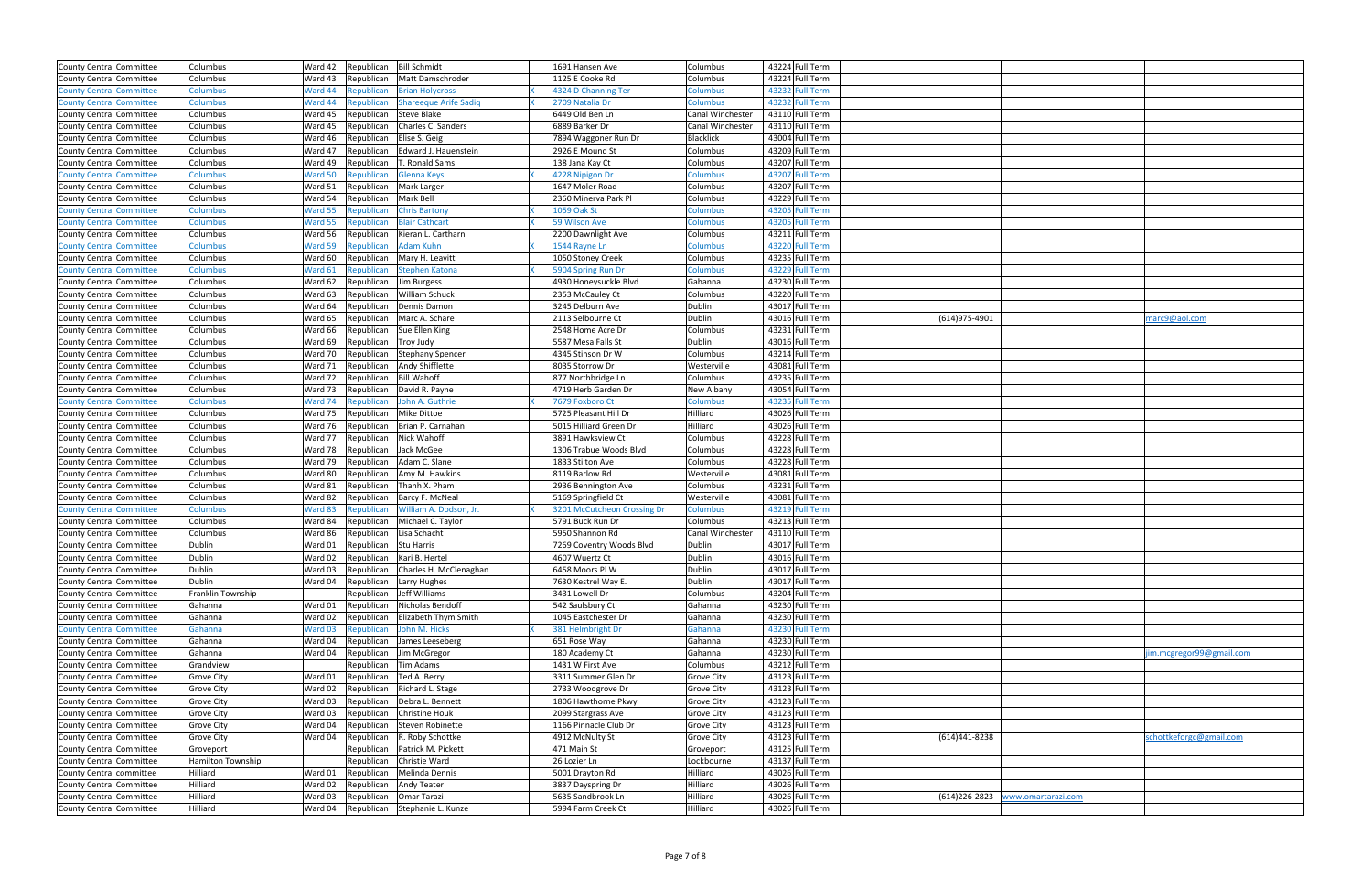| County Central Committee        | Columbus          | Ward 42 | Republican | <b>Bill Schmidt</b>          | 1691 Hansen Ave             | Columbus          | 43224 Full Term |                                   |                         |
|---------------------------------|-------------------|---------|------------|------------------------------|-----------------------------|-------------------|-----------------|-----------------------------------|-------------------------|
| <b>County Central Committee</b> | Columbus          | Ward 43 | Republican | Matt Damschroder             | 1125 E Cooke Rd             | Columbus          | 43224 Full Term |                                   |                         |
| <b>County Central Committee</b> | <b>Columbus</b>   | Ward 44 | Republican | <b>Brian Holycross</b>       | 4324 D Channing Ter         | Columbus          | 43232 Full Term |                                   |                         |
| <b>County Central Committee</b> | <b>Columbus</b>   | Ward 44 | Republican | <b>Shareeque Arife Sadiq</b> | 2709 Natalia Dr             | Columbus          | 43232 Full Term |                                   |                         |
| County Central Committee        | Columbus          | Ward 45 | Republican | <b>Steve Blake</b>           | 6449 Old Ben Ln             | Canal Winchester  | 43110 Full Term |                                   |                         |
| <b>County Central Committee</b> | Columbus          | Ward 45 | Republican | Charles C. Sanders           | 6889 Barker Dr              | Canal Winchester  | 43110 Full Term |                                   |                         |
| <b>County Central Committee</b> | Columbus          | Ward 46 | Republican | Elise S. Geig                | 7894 Waggoner Run Dr        | <b>Blacklick</b>  | 43004 Full Term |                                   |                         |
| County Central Committee        | Columbus          | Ward 47 | Republican | Edward J. Hauenstein         | 2926 E Mound St             | Columbus          | 43209 Full Term |                                   |                         |
| County Central Committee        | Columbus          | Ward 49 | Republican | T. Ronald Sams               | 138 Jana Kay Ct             | Columbus          | 43207 Full Term |                                   |                         |
| <b>County Central Committee</b> | Columbus          | Ward 50 | Republican | Glenna Keys                  | 4228 Nipigon Dr             | Columbus          | 43207 Full Term |                                   |                         |
| <b>County Central Committee</b> | Columbus          | Ward 51 | Republican | Mark Larger                  | 1647 Moler Road             | Columbus          | 43207 Full Term |                                   |                         |
| County Central Committee        | Columbus          | Ward 54 | Republican | Mark Bell                    | 2360 Minerva Park Pl        | Columbus          | 43229 Full Term |                                   |                         |
| <b>County Central Committee</b> | <b>Columbus</b>   | Ward 55 | Republican | <b>Chris Bartony</b>         | 1059 Oak St                 | Columbus          | 43205 Full Term |                                   |                         |
| <b>County Central Committee</b> | <b>Columbus</b>   | Ward 55 | Republican | <b>Blair Cathcart</b>        | 59 Wilson Ave               | Columbus          | 43205 Full Term |                                   |                         |
| <b>County Central Committee</b> | Columbus          | Ward 56 | Republican | Kieran L. Cartharn           | 2200 Dawnlight Ave          | Columbus          | 43211 Full Term |                                   |                         |
| <b>County Central Committee</b> | <b>Columbus</b>   | Ward 59 | Republican | <b>Adam Kuhn</b>             | 1544 Rayne Ln               | <b>Columbus</b>   | 43220 Full Term |                                   |                         |
| <b>County Central Committee</b> | Columbus          | Ward 60 | Republican | Mary H. Leavitt              | 1050 Stoney Creek           | Columbus          | 43235 Full Term |                                   |                         |
| <b>County Central Committee</b> | <b>Columbus</b>   | Ward 61 | Republican | <b>Stephen Katona</b>        | 5904 Spring Run Dr          | <b>Columbus</b>   | 43229 Full Term |                                   |                         |
| <b>County Central Committee</b> | Columbus          | Ward 62 | Republican | Jim Burgess                  | 4930 Honeysuckle Blvd       | Gahanna           | 43230 Full Term |                                   |                         |
| County Central Committee        | Columbus          | Ward 63 | Republican | William Schuck               | 2353 McCauley Ct            | Columbus          | 43220 Full Term |                                   |                         |
| County Central Committee        | Columbus          | Ward 64 | Republican | Dennis Damon                 | 3245 Delburn Ave            | Dublin            | 43017 Full Term |                                   |                         |
| County Central Committee        | Columbus          | Ward 65 | Republican | Marc A. Schare               | 2113 Selbourne Ct           | Dublin            | 43016 Full Term | (614)975-4901                     | marc9@aol.com           |
| County Central Committee        | Columbus          | Ward 66 | Republican | Sue Ellen King               | 2548 Home Acre Dr           | Columbus          | 43231 Full Term |                                   |                         |
| County Central Committee        | Columbus          | Ward 69 | Republican | Troy Judy                    | 5587 Mesa Falls St          | Dublin            | 43016 Full Term |                                   |                         |
| <b>County Central Committee</b> | Columbus          | Ward 70 | Republican | <b>Stephany Spencer</b>      | 4345 Stinson Dr W           | Columbus          | 43214 Full Term |                                   |                         |
| County Central Committee        | Columbus          | Ward 71 | Republican | Andy Shifflette              | 8035 Storrow Dr             | Westerville       | 43081 Full Term |                                   |                         |
| County Central Committee        | Columbus          | Ward 72 | Republican | <b>Bill Wahoff</b>           | 877 Northbridge Ln          | Columbus          | 43235 Full Term |                                   |                         |
| County Central Committee        | Columbus          | Ward 73 | Republican | David R. Payne               | 4719 Herb Garden Dr         | <b>New Albany</b> | 43054 Full Term |                                   |                         |
| <b>County Central Committee</b> | <b>Columbus</b>   | Ward 74 | Republican | John A. Guthrie              | 7679 Foxboro Ct             | <b>Columbus</b>   | 43235 Full Term |                                   |                         |
| County Central Committee        | Columbus          | Ward 75 | Republican | Mike Dittoe                  | 5725 Pleasant Hill Dr       | Hilliard          | 43026 Full Term |                                   |                         |
| County Central Committee        | Columbus          | Ward 76 | Republican | Brian P. Carnahan            | 5015 Hilliard Green Dr      | Hilliard          | 43026 Full Term |                                   |                         |
| County Central Committee        | Columbus          | Ward 77 | Republican | Nick Wahoff                  | 3891 Hawksview Ct           | Columbus          | 43228 Full Term |                                   |                         |
| County Central Committee        | Columbus          | Ward 78 | Republican | Jack McGee                   | 1306 Trabue Woods Blvd      | Columbus          | 43228 Full Term |                                   |                         |
| <b>County Central Committee</b> | Columbus          | Ward 79 | Republican | Adam C. Slane                | 1833 Stilton Ave            | Columbus          | 43228 Full Term |                                   |                         |
| <b>County Central Committee</b> | Columbus          | Ward 80 | Republican | Amy M. Hawkins               | 8119 Barlow Rd              | Westerville       | 43081 Full Term |                                   |                         |
| County Central Committee        | Columbus          | Ward 81 | Republican | Thanh X. Pham                | 2936 Bennington Ave         | Columbus          | 43231 Full Term |                                   |                         |
| <b>County Central Committee</b> | Columbus          | Ward 82 | Republican | Barcy F. McNeal              | 5169 Springfield Ct         | Westerville       | 43081 Full Term |                                   |                         |
| <b>County Central Committee</b> | Columbus          | Ward 83 | Republican | William A. Dodson, Jr.       | 3201 McCutcheon Crossing Dr | <b>Columbus</b>   | 43219 Full Term |                                   |                         |
| County Central Committee        | Columbus          | Ward 84 | Republican | Michael C. Taylor            | 5791 Buck Run Dr            | Columbus          | 43213 Full Term |                                   |                         |
| County Central Committee        | Columbus          | Ward 86 | Republican | Lisa Schacht                 | 5950 Shannon Rd             | Canal Winchester  | 43110 Full Term |                                   |                         |
| <b>County Central Committee</b> | Dublin            | Ward 01 | Republican | Stu Harris                   | 7269 Coventry Woods Blvd    | Dublin            | 43017 Full Term |                                   |                         |
| County Central Committee        | Dublin            | Ward 02 | Republican | Kari B. Hertel               | 4607 Wuertz Ct              | Dublin            | 43016 Full Term |                                   |                         |
| County Central Committee        | Dublin            | Ward 03 | Republican | Charles H. McClenaghan       | 6458 Moors Pl W             | Dublin            | 43017 Full Term |                                   |                         |
| <b>County Central Committee</b> | Dublin            | Ward 04 | Republican | Larry Hughes                 | 7630 Kestrel Way E.         | Dublin            | 43017 Full Term |                                   |                         |
| County Central Committee        | Franklin Township |         | Republican | Jeff Williams                | 3431 Lowell Dr              | Columbus          | 43204 Full Term |                                   |                         |
| <b>County Central Committee</b> | Gahanna           | Ward 01 | Republican | Nicholas Bendoff             | 542 Saulsbury Ct            | Gahanna           | 43230 Full Term |                                   |                         |
| County Central Committee        | Gahanna           | Ward 02 | Republican | Elizabeth Thym Smith         | 1045 Eastchester Dr         | Gahanna           | 43230 Full Term |                                   |                         |
| <b>County Central Committee</b> | Gahanna           | Ward 03 | Republican | John M. Hicks                | 381 Helmbright Dr           | Gahanna           | 43230 Full Term |                                   |                         |
| County Central Committee        | Gahanna           | Ward 04 | Republican | James Leeseberg              | 651 Rose Way                | Gahanna           | 43230 Full Term |                                   |                         |
| County Central Committee        | Gahanna           | Ward 04 | Republican | Jim McGregor                 | 180 Academy Ct              | Gahanna           | 43230 Full Term |                                   | im.mcgregor99@gmail.com |
| <b>County Central Committee</b> | Grandview         |         | Republican | Tim Adams                    | 1431 W First Ave            | Columbus          | 43212 Full Term |                                   |                         |
| County Central Committee        | <b>Grove City</b> | Ward 01 | Republican | Ted A. Berry                 | 3311 Summer Glen Dr         | <b>Grove City</b> | 43123 Full Term |                                   |                         |
| <b>County Central Committee</b> | <b>Grove City</b> | Ward 02 | Republican | Richard L. Stage             | 2733 Woodgrove Dr           | <b>Grove City</b> | 43123 Full Term |                                   |                         |
| County Central Committee        | <b>Grove City</b> | Ward 03 | Republican | Debra L. Bennett             | 1806 Hawthorne Pkwy         | <b>Grove City</b> | 43123 Full Term |                                   |                         |
| County Central Committee        | <b>Grove City</b> | Ward 03 | Republican | Christine Houk               | 2099 Stargrass Ave          | Grove City        | 43123 Full Term |                                   |                         |
| County Central Committee        | <b>Grove City</b> | Ward 04 | Republican | Steven Robinette             | 1166 Pinnacle Club Dr       | <b>Grove City</b> | 43123 Full Term |                                   |                         |
| County Central Committee        | <b>Grove City</b> | Ward 04 | Republican | R. Roby Schottke             | 4912 McNulty St             | <b>Grove City</b> | 43123 Full Term | (614)441-8238                     | schottkeforgc@gmail.com |
| <b>County Central Committee</b> | Groveport         |         | Republican | Patrick M. Pickett           | 471 Main St                 | Groveport         | 43125 Full Term |                                   |                         |
| County Central Committee        | Hamilton Township |         | Republican | Christie Ward                | 26 Lozier Ln                | Lockbourne        | 43137 Full Term |                                   |                         |
| County Central committee        | Hilliard          | Ward 01 | Republican | Melinda Dennis               | 5001 Drayton Rd             | Hilliard          | 43026 Full Term |                                   |                         |
| County Central Committee        | Hilliard          | Ward 02 | Republican | <b>Andy Teater</b>           | 3837 Dayspring Dr           | Hilliard          | 43026 Full Term |                                   |                         |
| County Central Committee        | Hilliard          | Ward 03 | Republican | Omar Tarazi                  | 5635 Sandbrook Ln           | Hilliard          | 43026 Full Term | (614)226-2823  www.omartarazi.com |                         |
| County Central Committee        | Hilliard          | Ward 04 | Republican | Stephanie L. Kunze           | 5994 Farm Creek Ct          | Hilliard          | 43026 Full Term |                                   |                         |
|                                 |                   |         |            |                              |                             |                   |                 |                                   |                         |

|                    | marc9@aol.com            |
|--------------------|--------------------------|
|                    |                          |
|                    |                          |
|                    |                          |
|                    |                          |
|                    |                          |
|                    |                          |
|                    |                          |
|                    |                          |
|                    |                          |
|                    |                          |
|                    |                          |
|                    |                          |
|                    |                          |
|                    |                          |
|                    |                          |
|                    |                          |
|                    |                          |
|                    |                          |
|                    |                          |
|                    |                          |
|                    |                          |
|                    |                          |
|                    |                          |
|                    |                          |
|                    |                          |
|                    |                          |
|                    |                          |
|                    |                          |
|                    |                          |
|                    |                          |
|                    |                          |
|                    |                          |
|                    |                          |
|                    |                          |
|                    |                          |
|                    |                          |
|                    |                          |
|                    |                          |
|                    |                          |
|                    |                          |
|                    |                          |
|                    |                          |
|                    |                          |
|                    | jim.mcgregor99@gmail.com |
|                    |                          |
|                    |                          |
|                    |                          |
|                    |                          |
|                    |                          |
|                    |                          |
|                    |                          |
|                    |                          |
|                    |                          |
|                    |                          |
|                    | schottkeforgc@gmail.com  |
|                    |                          |
|                    |                          |
|                    |                          |
|                    |                          |
|                    |                          |
|                    |                          |
|                    |                          |
|                    |                          |
|                    |                          |
| www.omartarazi.com |                          |